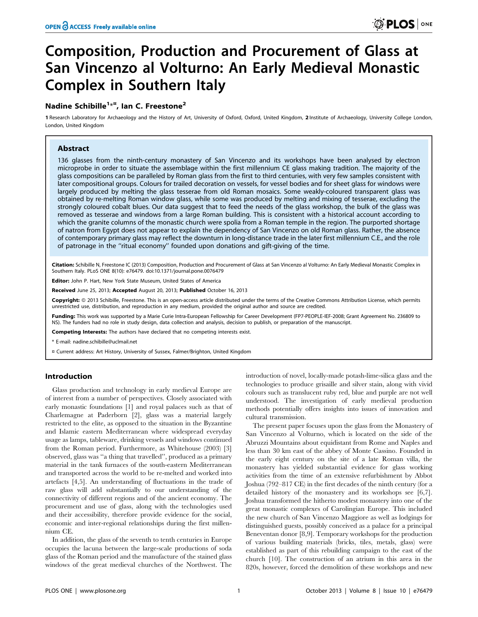# Composition, Production and Procurement of Glass at San Vincenzo al Volturno: An Early Medieval Monastic Complex in Southern Italy

# Nadine Schibille<sup>1\*¤</sup>, Ian C. Freestone<sup>2</sup>

1 Research Laboratory for Archaeology and the History of Art, University of Oxford, Oxford, United Kingdom, 2 Institute of Archaeology, University College London, London, United Kingdom

# Abstract

136 glasses from the ninth-century monastery of San Vincenzo and its workshops have been analysed by electron microprobe in order to situate the assemblage within the first millennium CE glass making tradition. The majority of the glass compositions can be paralleled by Roman glass from the first to third centuries, with very few samples consistent with later compositional groups. Colours for trailed decoration on vessels, for vessel bodies and for sheet glass for windows were largely produced by melting the glass tesserae from old Roman mosaics. Some weakly-coloured transparent glass was obtained by re-melting Roman window glass, while some was produced by melting and mixing of tesserae, excluding the strongly coloured cobalt blues. Our data suggest that to feed the needs of the glass workshop, the bulk of the glass was removed as tesserae and windows from a large Roman building. This is consistent with a historical account according to which the granite columns of the monastic church were spolia from a Roman temple in the region. The purported shortage of natron from Egypt does not appear to explain the dependency of San Vincenzo on old Roman glass. Rather, the absence of contemporary primary glass may reflect the downturn in long-distance trade in the later first millennium C.E., and the role of patronage in the ''ritual economy'' founded upon donations and gift-giving of the time.

Citation: Schibille N, Freestone IC (2013) Composition, Production and Procurement of Glass at San Vincenzo al Volturno: An Early Medieval Monastic Complex in Southern Italy. PLoS ONE 8(10): e76479. doi:10.1371/journal.pone.0076479

Editor: John P. Hart, New York State Museum, United States of America

Received June 25, 2013; Accepted August 20, 2013; Published October 16, 2013

**Copyright:** © 2013 Schibille, Freestone. This is an open-access article distributed under the terms of the Creative Commons Attribution License, which permits unrestricted use, distribution, and reproduction in any medium, provided the original author and source are credited.

Funding: This work was supported by a Marie Curie Intra-European Fellowship for Career Development (FP7-PEOPLE-IEF-2008; Grant Agreement No. 236809 to NS). The funders had no role in study design, data collection and analysis, decision to publish, or preparation of the manuscript.

Competing Interests: The authors have declared that no competing interests exist.

\* E-mail: nadine.schibille@uclmail.net

¤ Current address: Art History, University of Sussex, Falmer/Brighton, United Kingdom

# Introduction

Glass production and technology in early medieval Europe are of interest from a number of perspectives. Closely associated with early monastic foundations [1] and royal palaces such as that of Charlemagne at Paderborn [2], glass was a material largely restricted to the elite, as opposed to the situation in the Byzantine and Islamic eastern Mediterranean where widespread everyday usage as lamps, tableware, drinking vessels and windows continued from the Roman period. Furthermore, as Whitehouse (2003) [3] observed, glass was ''a thing that travelled'', produced as a primary material in the tank furnaces of the south-eastern Mediterranean and transported across the world to be re-melted and worked into artefacts [4,5]. An understanding of fluctuations in the trade of raw glass will add substantially to our understanding of the connectivity of different regions and of the ancient economy. The procurement and use of glass, along with the technologies used and their accessibility, therefore provide evidence for the social, economic and inter-regional relationships during the first millennium CE.

In addition, the glass of the seventh to tenth centuries in Europe occupies the lacuna between the large-scale productions of soda glass of the Roman period and the manufacture of the stained glass windows of the great medieval churches of the Northwest. The introduction of novel, locally-made potash-lime-silica glass and the technologies to produce grisaille and silver stain, along with vivid colours such as translucent ruby red, blue and purple are not well understood. The investigation of early medieval production methods potentially offers insights into issues of innovation and cultural transmission.

The present paper focuses upon the glass from the Monastery of San Vincenzo al Volturno, which is located on the side of the Abruzzi Mountains about equidistant from Rome and Naples and less than 30 km east of the abbey of Monte Cassino. Founded in the early eight century on the site of a late Roman villa, the monastery has yielded substantial evidence for glass working activities from the time of an extensive refurbishment by Abbot Joshua (792–817 CE) in the first decades of the ninth century (for a detailed history of the monastery and its workshops see [6,7]. Joshua transformed the hitherto modest monastery into one of the great monastic complexes of Carolingian Europe. This included the new church of San Vincenzo Maggiore as well as lodgings for distinguished guests, possibly conceived as a palace for a principal Beneventan donor [8,9]. Temporary workshops for the production of various building materials (bricks, tiles, metals, glass) were established as part of this rebuilding campaign to the east of the church [10]. The construction of an atrium in this area in the 820s, however, forced the demolition of these workshops and new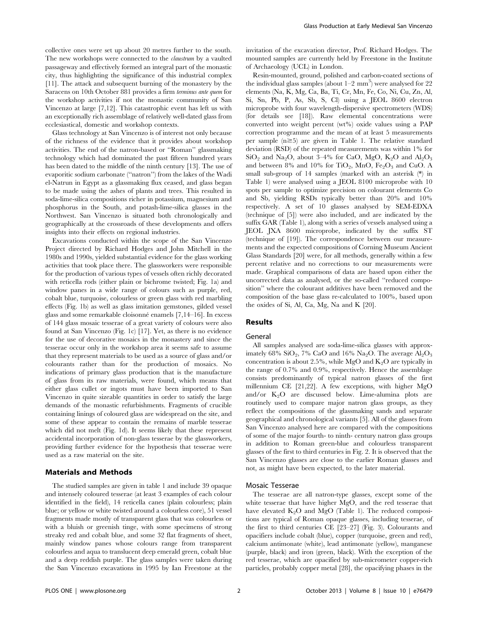collective ones were set up about 20 metres further to the south. The new workshops were connected to the *claustrum* by a vaulted passageway and effectively formed an integral part of the monastic city, thus highlighting the significance of this industrial complex [11]. The attack and subsequent burning of the monastery by the Saracens on 10th October 881 provides a firm terminus ante quem for the workshop activities if not the monastic community of San Vincenzo at large [7,12]. This catastrophic event has left us with an exceptionally rich assemblage of relatively well-dated glass from ecclesiastical, domestic and workshop contexts.

Glass technology at San Vincenzo is of interest not only because of the richness of the evidence that it provides about workshop activities. The end of the natron-based or ''Roman'' glassmaking technology which had dominated the past fifteen hundred years has been dated to the middle of the ninth century [13]. The use of evaporitic sodium carbonate (''natron'') from the lakes of the Wadi el-Natrun in Egypt as a glassmaking flux ceased, and glass began to be made using the ashes of plants and trees. This resulted in soda-lime-silica compositions richer in potassium, magnesium and phosphorus in the South, and potash-lime-silica glasses in the Northwest. San Vincenzo is situated both chronologically and geographically at the crossroads of these developments and offers insights into their effects on regional industries.

Excavations conducted within the scope of the San Vincenzo Project directed by Richard Hodges and John Mitchell in the 1980s and 1990s, yielded substantial evidence for the glass working activities that took place there. The glassworkers were responsible for the production of various types of vessels often richly decorated with reticella rods (either plain or bichrome twisted; Fig. 1a) and window panes in a wide range of colours such as purple, red, cobalt blue, turquoise, colourless or green glass with red marbling effects (Fig. 1b) as well as glass imitation gemstones, gilded vessel glass and some remarkable cloisonné enamels  $[7,14–16]$ . In excess of 144 glass mosaic tesserae of a great variety of colours were also found at San Vincenzo (Fig. 1c) [17]. Yet, as there is no evidence for the use of decorative mosaics in the monastery and since the tesserae occur only in the workshop area it seems safe to assume that they represent materials to be used as a source of glass and/or colourants rather than for the production of mosaics. No indications of primary glass production that is the manufacture of glass from its raw materials, were found, which means that either glass cullet or ingots must have been imported to San Vincenzo in quite sizeable quantities in order to satisfy the large demands of the monastic refurbishments. Fragments of crucible containing linings of coloured glass are widespread on the site, and some of these appear to contain the remains of marble tesserae which did not melt (Fig. 1d). It seems likely that these represent accidental incorporation of non-glass tesserae by the glassworkers, providing further evidence for the hypothesis that tesserae were used as a raw material on the site.

## Materials and Methods

The studied samples are given in table 1 and include 39 opaque and intensely coloured tesserae (at least 3 examples of each colour identified in the field), 14 reticella canes (plain colourless; plain blue; or yellow or white twisted around a colourless core), 51 vessel fragments made mostly of transparent glass that was colourless or with a bluish or greenish tinge, with some specimens of strong streaky red and cobalt blue, and some 32 flat fragments of sheet, mainly window panes whose colours range from transparent colourless and aqua to translucent deep emerald green, cobalt blue and a deep reddish purple. The glass samples were taken during the San Vincenzo excavations in 1995 by Ian Freestone at the

invitation of the excavation director, Prof. Richard Hodges. The mounted samples are currently held by Freestone in the Institute of Archaeology (UCL) in London.

Resin-mounted, ground, polished and carbon-coated sections of the individual glass samples (about  $1-2$  mm<sup>3</sup>) were analysed for 22 elements (Na, K, Mg, Ca, Ba, Ti, Cr, Mn, Fe, Co, Ni, Cu, Zn, Al, Si, Sn, Pb, P, As, Sb, S, Cl) using a JEOL 8600 electron microprobe with four wavelength-dispersive spectrometers (WDS) (for details see [18]). Raw elemental concentrations were converted into weight percent (wt%) oxide values using a PAP correction programme and the mean of at least 5 measurements per sample  $(n \geq 5)$  are given in Table 1. The relative standard deviation (RSD) of the repeated measurements was within 1% for  $SiO_2$  and Na<sub>2</sub>O, about 3–4% for CaO, MgO, K<sub>2</sub>O and Al<sub>2</sub>O<sub>3</sub> and between 8% and 10% for  $TiO_2$ , MnO,  $Fe<sub>2</sub>O<sub>3</sub>$  and CuO. A small sub-group of 14 samples (marked with an asterisk (\*) in Table 1) were analysed using a JEOL 8100 microprobe with 10 spots per sample to optimize precision on colourant elements Co and Sb, yielding RSDs typically better than 20% and 10% respectively. A set of 10 glasses analysed by SEM-EDXA (technique of [5]) were also included, and are indicated by the suffix GAR (Table 1), along with a series of vessels analysed using a JEOL JXA 8600 microprobe, indicated by the suffix ST (technique of [19]). The correspondence between our measurements and the expected compositions of Corning Museum Ancient Glass Standards [20] were, for all methods, generally within a few percent relative and no corrections to our measurements were made. Graphical comparisons of data are based upon either the uncorrected data as analysed, or the so-called ''reduced composition'' where the colourant additives have been removed and the composition of the base glass re-calculated to 100%, based upon the oxides of Si, Al, Ca, Mg, Na and K [20].

# Results

#### General

All samples analysed are soda-lime-silica glasses with approximately 68% SiO<sub>2</sub>, 7% CaO and 16% Na<sub>2</sub>O. The average  $\text{Al}_2\text{O}_3$ concentration is about 2.5%, while MgO and  $K_2O$  are typically in the range of 0.7% and 0.9%, respectively. Hence the assemblage consists predominantly of typical natron glasses of the first millennium CE [21,22]. A few exceptions, with higher MgO and/or  $K_2O$  are discussed below. Lime-alumina plots are routinely used to compare major natron glass groups, as they reflect the compositions of the glassmaking sands and separate geographical and chronological variants [5]. All of the glasses from San Vincenzo analysed here are compared with the compositions of some of the major fourth- to ninth- century natron glass groups in addition to Roman green-blue and colourless transparent glasses of the first to third centuries in Fig. 2. It is observed that the San Vincenzo glasses are close to the earlier Roman glasses and not, as might have been expected, to the later material.

#### Mosaic Tesserae

The tesserae are all natron-type glasses, except some of the white tesserae that have higher MgO, and the red tesserae that have elevated  $K_2O$  and  $MgO$  (Table 1). The reduced compositions are typical of Roman opaque glasses, including tesserae, of the first to third centuries CE [23–27] (Fig. 3). Colourants and opacifiers include cobalt (blue), copper (turquoise, green and red), calcium antimonate (white), lead antimonate (yellow), manganese (purple, black) and iron (green, black). With the exception of the red tesserae, which are opacified by sub-micrometer copper-rich particles, probably copper metal [28], the opacifying phases in the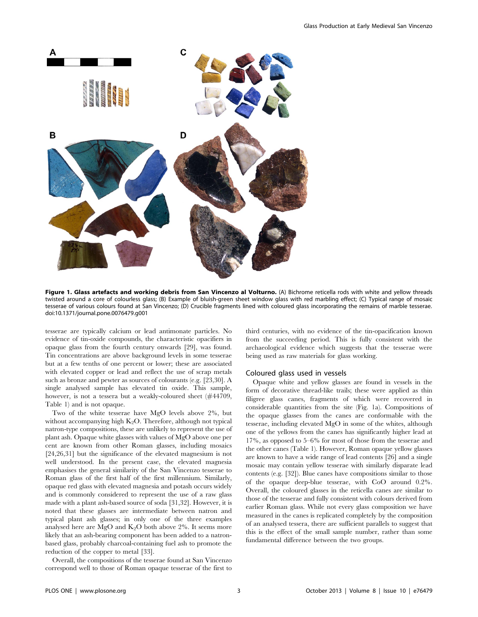

Figure 1. Glass artefacts and working debris from San Vincenzo al Volturno. (A) Bichrome reticella rods with white and yellow threads twisted around a core of colourless glass; (B) Example of bluish-green sheet window glass with red marbling effect; (C) Typical range of mosaic tesserae of various colours found at San Vincenzo; (D) Crucible fragments lined with coloured glass incorporating the remains of marble tesserae. doi:10.1371/journal.pone.0076479.g001

tesserae are typically calcium or lead antimonate particles. No evidence of tin-oxide compounds, the characteristic opacifiers in opaque glass from the fourth century onwards [29], was found. Tin concentrations are above background levels in some tesserae but at a few tenths of one percent or lower; these are associated with elevated copper or lead and reflect the use of scrap metals such as bronze and pewter as sources of colourants (e.g. [23,30]. A single analysed sample has elevated tin oxide. This sample, however, is not a tessera but a weakly-coloured sheet (#44709, Table 1) and is not opaque.

Two of the white tesserae have MgO levels above 2%, but without accompanying high  $K_2O$ . Therefore, although not typical natron-type compositions, these are unlikely to represent the use of plant ash. Opaque white glasses with values of MgO above one per cent are known from other Roman glasses, including mosaics [24,26,31] but the significance of the elevated magnesium is not well understood. In the present case, the elevated magnesia emphasises the general similarity of the San Vincenzo tesserae to Roman glass of the first half of the first millennium. Similarly, opaque red glass with elevated magnesia and potash occurs widely and is commonly considered to represent the use of a raw glass made with a plant ash-based source of soda [31,32]. However, it is noted that these glasses are intermediate between natron and typical plant ash glasses; in only one of the three examples analysed here are MgO and  $K_2O$  both above 2%. It seems more likely that an ash-bearing component has been added to a natronbased glass, probably charcoal-containing fuel ash to promote the reduction of the copper to metal [33].

Overall, the compositions of the tesserae found at San Vincenzo correspond well to those of Roman opaque tesserae of the first to third centuries, with no evidence of the tin-opacification known from the succeeding period. This is fully consistent with the archaeological evidence which suggests that the tesserae were being used as raw materials for glass working.

## Coloured glass used in vessels

Opaque white and yellow glasses are found in vessels in the form of decorative thread-like trails; these were applied as thin filigree glass canes, fragments of which were recovered in considerable quantities from the site (Fig. 1a). Compositions of the opaque glasses from the canes are conformable with the tesserae, including elevated MgO in some of the whites, although one of the yellows from the canes has significantly higher lead at 17%, as opposed to 5–6% for most of those from the tesserae and the other canes (Table 1). However, Roman opaque yellow glasses are known to have a wide range of lead contents [26] and a single mosaic may contain yellow tesserae with similarly disparate lead contents (e.g. [32]). Blue canes have compositions similar to those of the opaque deep-blue tesserae, with CoO around 0.2%. Overall, the coloured glasses in the reticella canes are similar to those of the tesserae and fully consistent with colours derived from earlier Roman glass. While not every glass composition we have measured in the canes is replicated completely by the composition of an analysed tessera, there are sufficient parallels to suggest that this is the effect of the small sample number, rather than some fundamental difference between the two groups.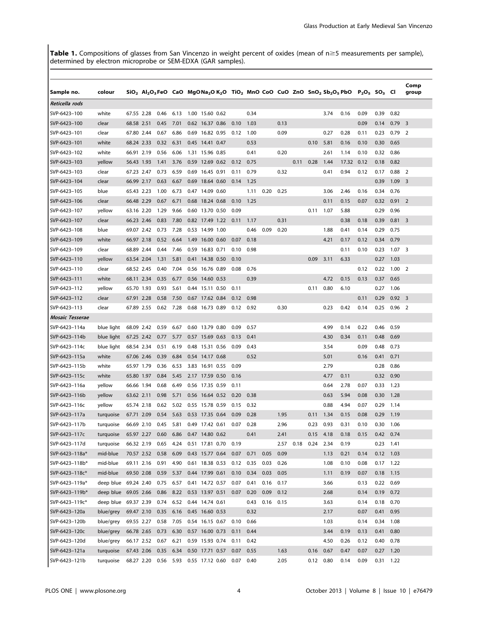Table 1. Compositions of glasses from San Vincenzo in weight percent of oxides (mean of n≥5 measurements per sample), determined by electron microprobe or SEM-EDXA (GAR samples).

| Sample no.      | colour               |            |            |           |           |      |                      |                                          |      |      |      |      |      |      |       | $\rm SiO_2$ $\rm Al_2O_3$ FeO CaO MgONa <sub>2</sub> O K <sub>2</sub> O TiO <sub>2</sub> MnO CoO CuO ZnO SnO <sub>2</sub> Sb <sub>2</sub> O <sub>5</sub> PbO P <sub>2</sub> O <sub>5</sub> SO <sub>3</sub> Cl |             |          | Comp<br>group              |
|-----------------|----------------------|------------|------------|-----------|-----------|------|----------------------|------------------------------------------|------|------|------|------|------|------|-------|---------------------------------------------------------------------------------------------------------------------------------------------------------------------------------------------------------------|-------------|----------|----------------------------|
| Reticella rods  |                      |            |            |           |           |      |                      |                                          |      |      |      |      |      |      |       |                                                                                                                                                                                                               |             |          |                            |
| SVP-6423-100    | white                | 67.55 2.28 |            | 0.46      | 6.13      |      | 1.00 15.60 0.62      |                                          | 0.34 |      |      |      |      | 3.74 | 0.16  | 0.09                                                                                                                                                                                                          | 0.39        | 0.82     |                            |
| SVP-6423-100    | clear                | 68.58 2.51 |            | 0.45      | 7.01      |      | 0.62 16.37 0.86      | 0.10                                     | 1.03 |      | 0.13 |      |      |      |       | 0.09                                                                                                                                                                                                          | 0.14        | $0.79$ 3 |                            |
| SVP-6423-101    | clear                | 67.80 2.44 |            | 0.67      | 6.86      |      | 0.69 16.82 0.95      | 0.12                                     | 1.00 |      | 0.09 |      |      | 0.27 | 0.28  | 0.11                                                                                                                                                                                                          | 0.23        | $0.79$ 2 |                            |
| SVP-6423-101    | white                | 68.24 2.33 |            | 0.32      | 6.31      |      | 0.45 14.41 0.47      |                                          | 0.53 |      |      |      | 0.10 | 5.81 | 0.16  | 0.10                                                                                                                                                                                                          | 0.30        | 0.65     |                            |
| SVP-6423-102    | white                | 66.91 2.19 |            | 0.56      | 6.06      |      | 1.31 15.96 0.85      |                                          | 0.41 |      | 0.20 |      |      | 2.61 | 1.14  | 0.10                                                                                                                                                                                                          | 0.32        | 0.86     |                            |
| SVP-6423-103    | yellow               | 56.43 1.93 |            | 1.41      | 3.76      | 0.59 | 12.69 0.62           | 0.12                                     | 0.75 |      |      | 0.11 | 0.28 | 1.44 | 17.32 | 0.12                                                                                                                                                                                                          | 0.18        | 0.82     |                            |
| SVP-6423-103    | clear                | 67.23 2.47 |            | 0.73      | 6.59      | 0.69 | 16.45 0.91           | 0.11                                     | 0.79 |      | 0.32 |      |      | 0.41 | 0.94  | 0.12                                                                                                                                                                                                          | 0.17        | 0.88     | $\overline{2}$             |
| SVP-6423-104    | clear                | 66.99 2.17 |            | 0.63      | 6.67      | 0.69 | 18.64 0.60           | 0.14                                     | 1.25 |      |      |      |      |      |       |                                                                                                                                                                                                               | 0.39        | 1.09     | $\overline{\mathbf{3}}$    |
| SVP-6423-105    | blue                 | 65.43 2.23 |            | 1.00      | 6.73      |      | 0.47 14.09 0.60      |                                          | 1.11 | 0.20 | 0.25 |      |      | 3.06 | 2.46  | 0.16                                                                                                                                                                                                          | 0.34        | 0.76     |                            |
| SVP-6423-106    | clear                | 66.48 2.29 |            | 0.67      | 6.71      |      | 0.68 18.24 0.68      | 0.10                                     | 1.25 |      |      |      |      | 0.11 | 0.15  | 0.07                                                                                                                                                                                                          | 0.32        | 0.91     | $\overline{\phantom{0}}^2$ |
| SVP-6423-107    | yellow               | 63.16 2.20 |            | 1.29      | 9.66      |      | 0.60 13.70 0.50      | 0.09                                     |      |      |      |      | 0.11 | 1.07 | 5.88  |                                                                                                                                                                                                               | 0.29        | 0.96     |                            |
| SVP-6423-107    | clear                | 66.23 2.46 |            | 0.83      | 7.80      |      | 0.82 17.49 1.22      | 0.11                                     | 1.17 |      | 0.31 |      |      |      | 0.38  | 0.18                                                                                                                                                                                                          | 0.39        | $0.81$ 3 |                            |
| SVP-6423-108    | blue                 | 69.07 2.42 |            | 0.73      | 7.28      |      | 0.53 14.99 1.00      |                                          | 0.46 | 0.09 | 0.20 |      |      | 1.88 | 0.41  | 0.14                                                                                                                                                                                                          | 0.29        | 0.75     |                            |
| SVP-6423-109    | white                | 66.97 2.18 |            | 0.52      | 6.64      |      | 1.49 16.00 0.60      | 0.07                                     | 0.18 |      |      |      |      | 4.21 | 0.17  | 0.12                                                                                                                                                                                                          | 0.34        | 0.79     |                            |
| SVP-6423-109    | clear                | 68.89 2.44 |            | 0.44      | 7.46      |      | 0.59 16.83 0.71      | 0.10                                     | 0.98 |      |      |      |      |      | 0.11  | 0.10                                                                                                                                                                                                          | 0.23        | $1.07-3$ |                            |
| SVP-6423-110    | yellow               | 63.54 2.04 |            | 1.31      | 5.81      |      | 0.41 14.38 0.50      | 0.10                                     |      |      |      |      | 0.09 | 3.11 | 6.33  |                                                                                                                                                                                                               | 0.27        | 1.03     |                            |
| SVP-6423-110    | clear                | 68.52 2.45 |            | 0.40      | 7.04      |      | 0.56 16.76 0.89      | 0.08                                     | 0.76 |      |      |      |      |      |       | 0.12                                                                                                                                                                                                          | 0.22        | $1.00$ 2 |                            |
| SVP-6423-111    | white                | 68.11 2.34 |            | 0.35      | 6.77      |      | 0.56 14.60 0.53      |                                          | 0.39 |      |      |      |      | 4.72 | 0.15  | 0.13                                                                                                                                                                                                          | 0.37        | 0.65     |                            |
| SVP-6423-112    | yellow               | 65.70 1.93 |            | 0.93      | 5.61      |      | 0.44 15.11 0.50      | 0.11                                     |      |      |      |      | 0.11 | 0.80 | 6.10  |                                                                                                                                                                                                               | 0.27        | 1.06     |                            |
| SVP-6423-112    | clear                | 67.91 2.28 |            | 0.58      | 7.50      | 0.67 | 17.62 0.84           | 0.12                                     | 0.98 |      |      |      |      |      |       | 0.11                                                                                                                                                                                                          | 0.29        | $0.92$ 3 |                            |
| SVP-6423-113    | clear                | 67.89 2.55 |            | 0.62      | 7.28      |      | 0.68 16.73 0.89      | 0.12                                     | 0.92 |      | 0.30 |      |      | 0.23 | 0.42  | 0.14                                                                                                                                                                                                          | 0.25        | $0.96$ 2 |                            |
| Mosaic Tesserae |                      |            |            |           |           |      |                      |                                          |      |      |      |      |      |      |       |                                                                                                                                                                                                               |             |          |                            |
| SVP-6423-114a   | blue light           | 68.09 2.42 |            | 0.59      | 6.67      |      | 0.60 13.79 0.80      | 0.09                                     | 0.57 |      |      |      |      | 4.99 | 0.14  | 0.22                                                                                                                                                                                                          | 0.46        | 0.59     |                            |
| SVP-6423-114b   | blue light           | 67.25 2.42 |            | 0.77      | 5.77      |      | 0.57 15.69 0.63      | 0.13                                     | 0.41 |      |      |      |      | 4.30 | 0.34  | 0.11                                                                                                                                                                                                          | 0.48        | 0.69     |                            |
| SVP-6423-114c   | blue light           | 68.54 2.34 |            | 0.51      | 6.19      |      | 0.48 15.31 0.56      | 0.09                                     | 0.43 |      |      |      |      | 3.54 |       | 0.09                                                                                                                                                                                                          | 0.48        | 0.73     |                            |
| SVP-6423-115a   | white                | 67.06 2.46 |            | 0.39      | 6.84      |      | 0.54 14.17 0.68      |                                          | 0.52 |      |      |      |      | 5.01 |       | 0.16                                                                                                                                                                                                          | 0.41        | 0.71     |                            |
| SVP-6423-115b   | white                | 65.97 1.79 |            | 0.36      | 6.53      |      | 3.83 16.91 0.55      | 0.09                                     |      |      |      |      |      | 2.79 |       |                                                                                                                                                                                                               | 0.28        | 0.86     |                            |
| SVP-6423-115c   | white                | 65.80 1.97 |            | 0.84      | 5.45      |      | 2.17 17.59 0.50      | 0.16                                     |      |      |      |      |      | 4.77 | 0.11  |                                                                                                                                                                                                               | 0.32        | 0.90     |                            |
| SVP-6423-116a   | yellow               | 66.66 1.94 |            | 0.68      | 6.49      |      | 0.56 17.35 0.59      | 0.11                                     |      |      |      |      |      | 0.64 | 2.78  | 0.07                                                                                                                                                                                                          | 0.33        | 1.23     |                            |
| SVP-6423–116b   | yellow               | 63.62 2.11 |            | 0.98      | 5.71      |      | 0.56 16.64 0.52      | 0.20                                     | 0.38 |      |      |      |      | 0.63 | 5.94  | 0.08                                                                                                                                                                                                          | 0.30        | 1.28     |                            |
| SVP-6423-116c   | yellow               | 65.74 2.18 |            | 0.62      | 5.02      |      | 0.55 15.78 0.59      | 0.15                                     | 0.32 |      |      |      |      | 0.88 | 4.94  | 0.07                                                                                                                                                                                                          | 0.29        | 1.14     |                            |
| SVP-6423-117a   | turquoise            | 67.71 2.09 |            | 0.54      | 5.63      |      | 0.53 17.35 0.64      | 0.09                                     | 0.28 |      | 1.95 |      | 0.11 | 1.34 | 0.15  | 0.08                                                                                                                                                                                                          | 0.29        | 1.19     |                            |
| SVP-6423-117b   | turquoise            | 66.69 2.10 |            | 0.45      | 5.81      |      | 0.49 17.42 0.61      | 0.07                                     | 0.28 |      | 2.96 |      | 0.23 | 0.93 | 0.31  | 0.10                                                                                                                                                                                                          | 0.30        | 1.06     |                            |
| SVP-6423-117c   | turquoise            |            | 65.97 2.27 | 0.60      | 6.86      |      | 0.47 14.80 0.62      |                                          | 0.41 |      | 2.41 |      | 0.15 | 4.18 | 0.18  | 0.15                                                                                                                                                                                                          | 0.42 0.74   |          |                            |
| SVP-6423-117d   | turquoise            | 66.32 2.19 |            | 0.65      | 4.24      |      | 0.51 17.81 0.70      | 0.19                                     |      |      | 2.57 | 0.18 | 0.24 | 2.34 | 0.19  |                                                                                                                                                                                                               | 0.23        | 1.41     |                            |
| SVP-6423-118a*  | mid-blue             | 70.57 2.52 |            | 0.58      | 6.09      |      | 0.43 15.77 0.64      | 0.07                                     | 0.71 | 0.05 | 0.09 |      |      | 1.13 | 0.21  | 0.14                                                                                                                                                                                                          | $0.12$ 1.03 |          |                            |
| SVP-6423-118b*  | mid-blue             | 69.11 2.16 |            | 0.91 4.90 |           |      |                      | 0.61 18.38 0.53 0.12 0.35                |      | 0.03 | 0.26 |      |      | 1.08 | 0.10  | 0.08                                                                                                                                                                                                          | $0.17$ 1.22 |          |                            |
| SVP-6423-118c*  | mid-blue             | 69.50 2.08 |            |           |           |      |                      | 0.59 5.37 0.44 17.99 0.61 0.10 0.34 0.03 |      |      | 0.05 |      |      | 1.11 | 0.19  | 0.07                                                                                                                                                                                                          | $0.18$ 1.15 |          |                            |
| SVP-6423-119a*  | deep blue 69.24 2.40 |            |            | 0.75      | 6.57      |      | 0.41 14.72 0.57      | 0.07                                     | 0.41 | 0.16 | 0.17 |      |      | 3.66 |       | 0.13                                                                                                                                                                                                          | 0.22        | 0.69     |                            |
| SVP-6423-119b*  | deep blue 69.05 2.66 |            |            |           | 0.86 8.22 |      |                      | 0.53 13.97 0.51 0.07 0.20                |      | 0.09 | 0.12 |      |      | 2.68 |       | 0.14                                                                                                                                                                                                          | 0.19        | 0.72     |                            |
| SVP-6423-119c*  | deep blue 69.37 2.39 |            |            |           | 0.74 6.52 |      | 0.44 14.74 0.61      |                                          | 0.43 | 0.16 | 0.15 |      |      | 3.63 |       | 0.14                                                                                                                                                                                                          | 0.18        | 0.70     |                            |
| SVP-6423-120a   | blue/grey            | 69.47 2.10 |            | 0.35      | 6.16      |      | 0.45 16.60 0.53      |                                          | 0.32 |      |      |      |      | 2.17 |       | 0.07                                                                                                                                                                                                          | 0.41        | 0.95     |                            |
| SVP-6423-120b   | blue/grey            | 69.55 2.27 |            | 0.58 7.05 |           |      | 0.54 16.15 0.67 0.10 |                                          | 0.66 |      |      |      |      | 1.03 |       | 0.14                                                                                                                                                                                                          | 0.34        | 1.08     |                            |
| SVP-6423-120c   | blue/grey            | 66.78 2.65 |            | 0.73      | 6.30      |      | 0.57 16.00 0.73      | 0.11                                     | 0.44 |      |      |      |      | 3.44 | 0.19  | 0.13                                                                                                                                                                                                          | 0.41        | 0.80     |                            |
| SVP-6423-120d   | blue/grey            | 66.17 2.52 |            | 0.67      | 6.21      |      | 0.59 15.93 0.74      | 0.11                                     | 0.42 |      |      |      |      | 4.50 | 0.26  | 0.12                                                                                                                                                                                                          | 0.40        | 0.78     |                            |
| SVP-6423-121a   | turquoise            | 67.43 2.06 |            | 0.35      | 6.34      |      | 0.50 17.71 0.57      | 0.07                                     | 0.55 |      | 1.63 |      | 0.16 | 0.67 | 0.47  | 0.07                                                                                                                                                                                                          | 0.27        | 1.20     |                            |
| SVP-6423-121b   | turquoise            |            | 68.27 2.20 | 0.56      | 5.93      |      | 0.55 17.12 0.60      | 0.07                                     | 0.40 |      | 2.05 |      | 0.12 | 0.80 | 0.14  | 0.09                                                                                                                                                                                                          | 0.31        | 1.22     |                            |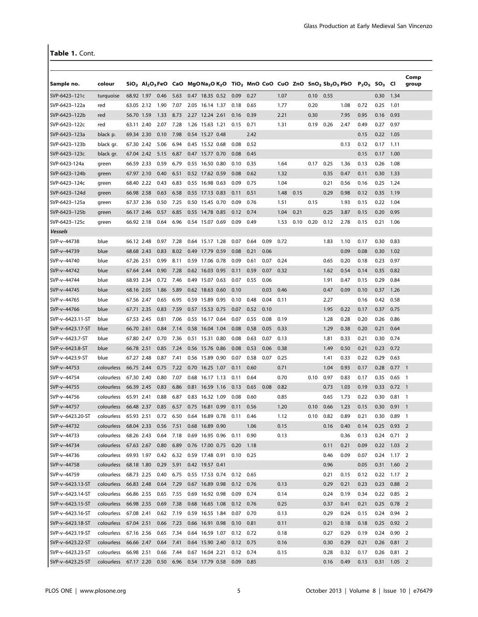Table 1. Cont.

| Sample no.                 | colour                                          |                          |                 |              |              |              |                               |                           |              |      |              |      |               |              | $SiO2$ Al <sub>2</sub> O <sub>3</sub> FeO CaO MgONa <sub>2</sub> O K <sub>2</sub> O TiO <sub>2</sub> MnO CoO CuO ZnO SnO <sub>2</sub> Sb <sub>2</sub> O <sub>5</sub> PbO P <sub>2</sub> O <sub>5</sub> SO <sub>3</sub> |              |              | CI.                    | Comp<br>group            |
|----------------------------|-------------------------------------------------|--------------------------|-----------------|--------------|--------------|--------------|-------------------------------|---------------------------|--------------|------|--------------|------|---------------|--------------|------------------------------------------------------------------------------------------------------------------------------------------------------------------------------------------------------------------------|--------------|--------------|------------------------|--------------------------|
| SVP-6423-121c              | turquoise                                       |                          | 68.92 1.97 0.46 |              | 5.63         |              | 0.47 18.35 0.52               | 0.09                      | 0.27         |      | 1.07         |      | $0.10$ $0.55$ |              |                                                                                                                                                                                                                        |              | 0.30         | 1.34                   |                          |
| SVP-6423-122a              | red                                             | 63.05 2.12               |                 | 1.90         | 7.07         |              | 2.05 16.14 1.37               | 0.18                      | 0.65         |      | 1.77         |      | 0.20          |              | 1.08                                                                                                                                                                                                                   | 0.72         | 0.25         | 1.01                   |                          |
| SVP-6423-122b              | red                                             | 56.70 1.59               |                 | 1.33         | 8.73         |              | 2.27 12.24 2.61               | 0.16                      | 0.39         |      | 2.21         |      | 0.30          |              | 7.95                                                                                                                                                                                                                   | 0.95         | 0.16         | 0.93                   |                          |
| SVP-6423-122c              | red                                             | 63.11 2.40               |                 | 2.07         | 7.28         | 1.26         | 15.63 1.21                    | 0.15                      | 0.71         |      | 1.31         |      | 0.19          | 0.26         | 2.47                                                                                                                                                                                                                   | 0.49         | 0.27         | 0.97                   |                          |
| SVP-6423-123a              | black p.                                        | 69.34 2.30               |                 | 0.10         | 7.98         |              | 0.54 15.27 0.48               |                           | 2.42         |      |              |      |               |              |                                                                                                                                                                                                                        | 0.15         | 0.22         | 1.05                   |                          |
| SVP-6423-123b              | black gr.                                       | 67.30 2.42               |                 | 5.06         | 6.94         |              | 0.45 15.52 0.68               | 0.08                      | 0.52         |      |              |      |               |              | 0.13                                                                                                                                                                                                                   | 0.12         | 0.17         | 1.11                   |                          |
| SVP-6423-123c              | black gr.                                       | 67.04 2.42               |                 | 5.15         | 6.87         |              | 0.47 15.77 0.70               | 0.08                      | 0.45         |      |              |      |               |              |                                                                                                                                                                                                                        | 0.15         | 0.17         | 1.00                   |                          |
| SVP-6423-124a              | green                                           | 66.59 2.33               |                 | 0.59         | 6.79         |              | 0.55 16.50 0.80               | 0.10                      | 0.35         |      | 1.64         |      | 0.17          | 0.25         | 1.36                                                                                                                                                                                                                   | 0.13         | 0.26         | 1.08                   |                          |
| SVP-6423–124b              | green                                           | 67.97 2.10               |                 | 0.40         | 6.51         |              | 0.52 17.62 0.59               | 0.08                      | 0.62         |      | 1.32         |      |               | 0.35         | 0.47                                                                                                                                                                                                                   | 0.11         | 0.30         | 1.33                   |                          |
| SVP-6423-124c              | green                                           | 68.40 2.22               |                 | 0.43         | 6.83         |              | 0.55 16.98 0.63               | 0.09                      | 0.75         |      | 1.04         |      |               | 0.21         | 0.56                                                                                                                                                                                                                   | 0.16         | 0.25         | 1.24                   |                          |
| SVP-6423-124d              | green                                           | 66.98 2.58               |                 | 0.63         | 6.58         |              | 0.55 17.13 0.83               | 0.11                      | 0.51         |      | 1.48         | 0.15 |               | 0.29         | 0.98                                                                                                                                                                                                                   | 0.12         | 0.35         | 1.19                   |                          |
| SVP-6423-125a              | green                                           | 67.37 2.36               |                 | 0.50         | 7.25         |              | 0.50 15.45 0.70               | 0.09                      | 0.76         |      | 1.51         |      | 0.15          |              | 1.93                                                                                                                                                                                                                   | 0.15         | 0.22         | 1.04                   |                          |
| SVP-6423-125b              | green                                           | 66.17 2.46               |                 | 0.57         | 6.85         |              | 0.55 14.78 0.85               | 0.12                      | 0.74         |      | 1.04         | 0.21 |               | 0.25         | 3.87                                                                                                                                                                                                                   | 0.15         | 0.20         | 0.95                   |                          |
| SVP-6423-125c              | green                                           | 66.92 2.18               |                 | 0.64         | 6.96         |              | 0.54 15.07 0.69               | 0.09                      | 0.49         |      | 1.53         | 0.10 | 0.20          | 0.12         | 2.78                                                                                                                                                                                                                   | 0.15         | 0.21         | 1.06                   |                          |
| Vessels                    |                                                 |                          |                 |              |              |              |                               |                           |              |      |              |      |               |              |                                                                                                                                                                                                                        |              |              |                        |                          |
| SVP-v-44738                | blue                                            | 66.12 2.48               |                 | 0.97         | 7.28         |              | 0.64 15.17 1.28               | 0.07                      | 0.64         | 0.09 | 0.72         |      |               | 1.83         | 1.10                                                                                                                                                                                                                   | 0.17         | 0.30         | 0.83                   |                          |
| SVP-v-44739                | blue                                            | 68.68 2.43               |                 | 0.83         | 8.02         | 0.49         | 17.79 0.59                    | 0.08                      | 0.21         | 0.06 |              |      |               |              | 0.09                                                                                                                                                                                                                   | 0.08         | 0.30         | 1.02                   |                          |
| SVP-v-44740                | blue                                            | 67.26 2.51               |                 | 0.99         | 8.11         |              | 0.59 17.06 0.78               | 0.09                      | 0.61         | 0.07 | 0.24         |      |               | 0.65         | 0.20                                                                                                                                                                                                                   | 0.18         | 0.23         | 0.97                   |                          |
| SVP-v-44742                | blue                                            | 67.64 2.44               |                 | 0.90         | 7.28         |              | 0.62 16.03 0.95               | 0.11                      | 0.59         | 0.07 | 0.32         |      |               | 1.62         | 0.54                                                                                                                                                                                                                   | 0.14         | 0.35         | 0.82                   |                          |
| SVP-v-44744                | blue                                            | 68.93 2.34               |                 | 0.72         | 7.46         |              | 0.49 15.07 0.63               | 0.07                      | 0.55         | 0.06 |              |      |               | 1.91         | 0.47                                                                                                                                                                                                                   | 0.15         | 0.29         | 0.84                   |                          |
| SVP-v-44745                | blue                                            | 68.16 2.05               |                 | 1.86         | 5.89         |              | 0.62 18.63 0.60               | 0.10                      |              | 0.03 | 0.46         |      |               | 0.47         | 0.09                                                                                                                                                                                                                   | 0.10         | 0.37         | 1.26                   |                          |
| SVP-v-44765                | blue                                            | 67.56 2.47               |                 | 0.65         | 6.95         |              | 0.59 15.89 0.95               | 0.10                      | 0.48         | 0.04 | 0.11         |      |               | 2.27         |                                                                                                                                                                                                                        | 0.16         | 0.42         | 0.58                   |                          |
| SVP-v-44766                | blue                                            | 67.71 2.35               |                 | 0.83         | 7.59         |              | 0.57 15.53 0.75               | 0.07                      | 0.52         | 0.10 |              |      |               | 1.95         | 0.22                                                                                                                                                                                                                   | 0.17         | 0.37         | 0.75                   |                          |
| SVP-v-6423.11-ST           | blue                                            | 67.53 2.45               |                 | 0.81         | 7.06         |              | 0.55 16.17 0.64               | 0.07                      | 0.55         | 0.08 | 0.19         |      |               | 1.28         | 0.28                                                                                                                                                                                                                   | 0.20         | 0.26         | 0.86                   |                          |
| SVP-v-6423.17-ST           | blue                                            | 66.70 2.61               |                 | 0.84         | 7.14         |              | 0.58 16.04 1.04               | 0.08                      | 0.58         | 0.05 | 0.33         |      |               | 1.29         | 0.38                                                                                                                                                                                                                   | 0.20         | 0.21         | 0.64                   |                          |
| SVP-v-6423.7-ST            | blue                                            | 67.80 2.47               |                 | 0.70         | 7.36         |              | 0.51 15.31 0.80               | 0.08                      | 0.63         | 0.07 | 0.13         |      |               | 1.81         | 0.33                                                                                                                                                                                                                   | 0.21         | 0.30         | 0.74                   |                          |
| SVP-v-6423.8-ST            | blue                                            | 66.78 2.51               |                 | 0.85         | 7.24         |              | 0.56 15.76 0.86               | 0.08                      | 0.53         | 0.06 | 0.38         |      |               | 1.49         | 0.50                                                                                                                                                                                                                   | 0.21         | 0.23         | 0.72                   |                          |
| SVP-v-6423.9-ST            | blue                                            | 67.27 2.48               |                 | 0.87         | 7.41         |              | 0.56 15.89 0.90               | 0.07                      | 0.58         | 0.07 | 0.25         |      |               | 1.41         | 0.33                                                                                                                                                                                                                   | 0.22         | 0.29         | 0.63                   |                          |
| SVP-v-44753                | colourless                                      | 66.75 2.44               |                 | 0.75         | 7.22         | 0.70         | 16.25 1.07                    | 0.11                      | 0.60         |      | 0.71         |      |               | 1.04         | 0.93                                                                                                                                                                                                                   | 0.17         | 0.28         | $0.77$ 1               |                          |
| SVP-v-44754                | colourless                                      | 67.30 2.40<br>66.39 2.45 |                 | 0.80<br>0.83 | 7.07<br>6.86 | 0.68<br>0.81 | 16.17 1.13                    | 0.11                      | 0.64<br>0.65 | 0.08 | 0.70         |      | 0.10          | 0.97         | 0.83<br>1.03                                                                                                                                                                                                           | 0.17<br>0.19 | 0.35<br>0.33 | 0.65                   | $\overline{1}$           |
| SVP-v-44755<br>SVP-v-44756 | colourless<br>colourless                        | 65.91 2.41               |                 | 0.88         | 6.87         |              | 16.59 1.16<br>0.83 16.32 1.09 | 0.13<br>0.08              | 0.60         |      | 0.82<br>0.85 |      |               | 0.73<br>0.65 | 1.73                                                                                                                                                                                                                   | 0.22         | 0.30         | $0.72 \quad 1$<br>0.81 | $\overline{1}$           |
| SVP-v-44757                | colourless                                      | 66.48 2.37               |                 | 0.85         | 6.57         | 0.75         | 16.81 0.99                    | 0.11                      | 0.56         |      | 1.20         |      | 0.10          | 0.66         | 1.23                                                                                                                                                                                                                   | 0.15         | 0.30         | 0.91                   | $\overline{\phantom{0}}$ |
| SVP-v-6423.20-ST           | colourless                                      | 65.93 2.51               |                 | 0.72         | 6.50         |              | 0.64 16.89 0.78               | 0.11                      | 0.46         |      | 1.12         |      | 0.10          | 0.82         | 0.89                                                                                                                                                                                                                   | 0.21         | 0.30         | 0.89                   | $\overline{1}$           |
| SVP-v-44732                | colourless 68.04 2.33 0.56 7.51 0.68 16.89 0.90 |                          |                 |              |              |              |                               |                           | 1.06         |      | 0.15         |      |               | 0.16         | 0.40                                                                                                                                                                                                                   | 0.14         |              | $0.25$ 0.93 2          |                          |
| SVP-v-44733                | colourless                                      | 68.26 2.43               |                 | 0.64         | 7.18         |              | 0.69 16.95 0.96 0.11          |                           | 0.90         |      | 0.13         |      |               |              | 0.36                                                                                                                                                                                                                   | 0.13         | 0.24         | $0.71 \quad 2$         |                          |
| SVP-v-44734                | colourless 67.63 2.67 0.80 6.89                 |                          |                 |              |              |              | 0.76 17.00 0.75               | 0.20                      | 1.18         |      |              |      |               | 0.11         | 0.21                                                                                                                                                                                                                   | 0.09         |              | $0.22$ $1.03$ 2        |                          |
| SVP-v-44736                | colourless 69.93 1.97 0.42 6.32                 |                          |                 |              |              |              | 0.59 17.48 0.91               | $0.10$ 0.25               |              |      |              |      |               | 0.46         | 0.09                                                                                                                                                                                                                   | 0.07         |              | $0.24$ 1.17 2          |                          |
| SVP-v-44758                | colourless 68.18 1.80                           |                          |                 | 0.29         | 5.91         |              | 0.42 19.57 0.41               |                           |              |      |              |      |               | 0.96         |                                                                                                                                                                                                                        | 0.05         |              | $0.31$ $1.60$ 2        |                          |
| SVP-v-44759                | colourless 68.73 2.25                           |                          |                 | 0.40 6.75    |              |              |                               | 0.55 17.53 0.74 0.12 0.65 |              |      |              |      |               | 0.21         | 0.15                                                                                                                                                                                                                   | 0.12         |              | $0.22$ 1.17 2          |                          |
| SVP-v-6423.13-ST           | colourless                                      | 66.83 2.48               |                 | 0.64 7.29    |              |              | 0.67 16.89 0.98               | $0.12$ 0.76               |              |      | 0.13         |      |               | 0.29         | 0.21                                                                                                                                                                                                                   | 0.23         | 0.23         | $0.88$ 2               |                          |
| SVP-v-6423.14-ST           | colourless                                      | 66.86 2.55               |                 | 0.65 7.55    |              |              | 0.69 16.92 0.98               | 0.09                      | 0.74         |      | 0.14         |      |               | 0.24         | 0.19                                                                                                                                                                                                                   | 0.34         | 0.22         | $0.85$ 2               |                          |
| SVP-v-6423.15-ST           | colourless                                      | 66.98 2.55               |                 | 0.69         | 7.38         |              | 0.68 16.65 1.08               | $0.12$ 0.76               |              |      | 0.25         |      |               | 0.37         | 0.41                                                                                                                                                                                                                   | 0.21         | 0.25         | $0.78$ 2               |                          |
| SVP-v-6423.16-ST           | colourless                                      | 67.08 2.41               |                 | $0.62$ 7.19  |              |              | 0.59 16.55 1.84               | 0.07                      | 0.70         |      | 0.13         |      |               | 0.29         | 0.24                                                                                                                                                                                                                   | 0.15         | 0.24         | $0.94$ 2               |                          |
| SVP-v-6423.18-ST           | colourless 67.04 2.51                           |                          |                 | 0.66 7.23    |              |              | 0.66 16.91 0.98               | 0.10                      | 0.81         |      | 0.11         |      |               | 0.21         | 0.18                                                                                                                                                                                                                   | 0.18         | 0.25         | $0.92$ 2               |                          |
| SVP-v-6423.19-ST           | colourless 67.16 2.56                           |                          |                 | 0.65 7.34    |              |              | 0.64 16.59 1.07               | $0.12$ 0.72               |              |      | 0.18         |      |               | 0.27         | 0.29                                                                                                                                                                                                                   | 0.19         | 0.24         | $0.90$ 2               |                          |
| SVP-v-6423.22-ST           | colourless 66.66 2.47 0.64 7.41                 |                          |                 |              |              |              | 0.64 15.90 2.40               | $0.12$ 0.75               |              |      | 0.16         |      |               | 0.30         | 0.29                                                                                                                                                                                                                   | 0.21         |              | $0.26$ $0.81$ 2        |                          |
| SVP-v-6423.23-ST           | colourless 66.98 2.51                           |                          |                 | 0.66 7.44    |              |              | 0.67 16.04 2.21               | $0.12$ 0.74               |              |      | 0.15         |      |               | 0.28         | 0.32                                                                                                                                                                                                                   | 0.17         |              | $0.26$ $0.81$ 2        |                          |
| SVP-v-6423.25-ST           | colourless 67.17 2.20 0.50 6.96 0.54 17.79 0.58 |                          |                 |              |              |              |                               | 0.09 0.85                 |              |      |              |      |               | 0.16         | 0.49                                                                                                                                                                                                                   | 0.13         |              | $0.31$ $1.05$ 2        |                          |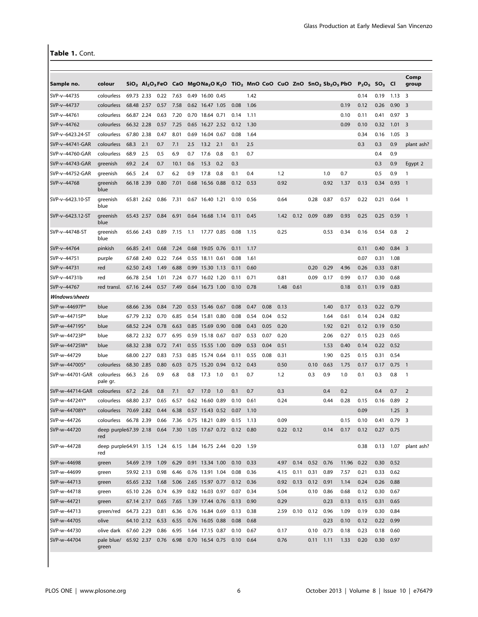Table 1. Cont.

|                  |                                                                  |            |            |                      |      |      |                      |     |                           |      |      |               |             |                        |                                                                                                                                                                          |            |                          |             |           | Comp                     |
|------------------|------------------------------------------------------------------|------------|------------|----------------------|------|------|----------------------|-----|---------------------------|------|------|---------------|-------------|------------------------|--------------------------------------------------------------------------------------------------------------------------------------------------------------------------|------------|--------------------------|-------------|-----------|--------------------------|
| Sample no.       | colour                                                           |            |            |                      |      |      |                      |     |                           |      |      |               |             |                        | $SiO2$ Al <sub>2</sub> O <sub>3</sub> FeO CaO MgONa <sub>2</sub> O K <sub>2</sub> O TiO <sub>2</sub> MnO CoO CuO ZnO SnO <sub>2</sub> Sb <sub>2</sub> O <sub>5</sub> PbO |            | $P_2O_5$ SO <sub>3</sub> |             | <b>CI</b> | group                    |
| SVP-v-44735      | colourless                                                       | 69.73 2.33 |            | 0.22 7.63            |      |      | 0.49 16.00 0.45      |     |                           | 1.42 |      |               |             |                        |                                                                                                                                                                          |            | 0.14                     | 0.19        | 1.13      | $\overline{\mathbf{3}}$  |
| SVP-v-44737      | colourless                                                       | 68.48 2.57 |            | 0.57                 | 7.58 |      | 0.62 16.47 1.05      |     | 0.08                      | 1.06 |      |               |             |                        |                                                                                                                                                                          | 0.19       | 0.12                     | 0.26        | 0.90      | $\overline{\mathbf{3}}$  |
| SVP-v-44761      | colourless                                                       | 66.87 2.24 |            | 0.63                 | 7.20 | 0.70 | 18.64 0.71           |     | 0.14                      | 1.11 |      |               |             |                        |                                                                                                                                                                          | 0.10       | 0.11                     | 0.41        | $0.97$ 3  |                          |
| SVP-v-44762      | colourless                                                       | 66.32 2.28 |            | 0.57                 | 7.25 | 0.65 | 16.27 2.52           |     | 0.12                      | 1.30 |      |               |             |                        |                                                                                                                                                                          | 0.09       | 0.10                     | 0.32        | 1.01      | $\overline{\mathbf{3}}$  |
| SVP-v-6423.24-ST | colourless                                                       | 67.80 2.38 |            | 0.47                 | 8.01 | 0.69 | 16.04 0.67           |     | 0.08                      | 1.64 |      |               |             |                        |                                                                                                                                                                          |            | 0.34                     | 0.16        | 1.05      | $\overline{\mathbf{3}}$  |
| SVP-v-44741-GAR  | colourless                                                       | 68.3       | 2.1        | 0.7                  | 7.1  | 2.5  | 13.2                 | 2.1 | 0.1                       | 2.5  |      |               |             |                        |                                                                                                                                                                          |            | 0.3                      | 0.3         | 0.9       | plant ash?               |
| SVP-v-44760-GAR  | colourless                                                       | 68.9       | 2.5        | 0.5                  | 6.9  | 0.7  | 17.6                 | 0.8 | 0.1                       | 0.7  |      |               |             |                        |                                                                                                                                                                          |            |                          | 0.4         | 0.9       |                          |
| SVP-v-44743-GAR  | greenish                                                         | 69.2       | 2.4        | 0.7                  | 10.1 | 0.6  | 15.3                 | 0.2 | 0.3                       |      |      |               |             |                        |                                                                                                                                                                          |            |                          | 0.3         | 0.9       | Egypt 2                  |
| SVP-v-44752-GAR  | greenish                                                         | 66.5       | 2.4        | 0.7                  | 6.2  | 0.9  | 17.8                 | 0.8 | 0.1                       | 0.4  |      | 1.2           |             |                        | 1.0                                                                                                                                                                      | 0.7        |                          | 0.5         | 0.9       | 1                        |
| SVP-v-44768      | greenish<br>blue                                                 | 66.18 2.39 |            | 0.80                 | 7.01 |      | 0.68 16.56 0.88      |     | 0.12                      | 0.53 |      | 0.92          |             |                        | 0.92                                                                                                                                                                     | 1.37       | 0.13                     | 0.34        | 0.93      | $\overline{1}$           |
| SVP-v-6423.10-ST | greenish<br>blue                                                 | 65.81 2.62 |            | 0.86                 | 7.31 |      | 0.67 16.40 1.21      |     | 0.10                      | 0.56 |      | 0.64          |             | 0.28                   | 0.87                                                                                                                                                                     | 0.57       | 0.22                     | 0.21        | 0.64      | $\overline{1}$           |
| SVP-v-6423.12-ST | greenish<br>blue                                                 |            | 65.43 2.57 | 0.84                 | 6.91 |      | 0.64 16.68 1.14      |     | 0.11                      | 0.45 |      | 1.42          | 0.12        | 0.09                   | 0.89                                                                                                                                                                     | 0.93       | 0.25                     | 0.25        | $0.59$ 1  |                          |
| SVP-v-44748-ST   | greenish<br>blue                                                 | 65.66 2.43 |            | 0.89                 | 7.15 | 1.1  | 17.77 0.85           |     | 0.08                      | 1.15 |      | 0.25          |             |                        | 0.53                                                                                                                                                                     | 0.34       | 0.16                     | 0.54        | 0.8       | $\overline{2}$           |
| SVP-v-44764      | pinkish                                                          | 66.85 2.41 |            | 0.68                 | 7.24 | 0.68 | 19.05 0.76           |     | 0.11                      | 1.17 |      |               |             |                        |                                                                                                                                                                          |            | 0.11                     | 0.40        | 0.84      | $\overline{\mathbf{3}}$  |
| SVP-v-44751      | purple                                                           | 67.68 2.40 |            | 0.22                 | 7.64 |      | 0.55 18.11 0.61      |     | 0.08                      | 1.61 |      |               |             |                        |                                                                                                                                                                          |            | 0.07                     | 0.31        | 1.08      |                          |
| SVP-v-44731      | red                                                              | 62.50 2.43 |            | 1.49                 | 6.88 |      | 0.99 15.30 1.13      |     | 0.11                      | 0.60 |      |               |             | 0.20                   | 0.29                                                                                                                                                                     | 4.96       | 0.26                     | 0.33        | 0.81      |                          |
| SVP-v-44731b     | red                                                              | 66.78 2.54 |            | 1.01                 | 7.24 |      | 0.77 16.02 1.20      |     | 0.11                      | 0.71 |      | 0.81          |             | 0.09                   | 0.17                                                                                                                                                                     | 0.99       | 0.17                     | 0.30        | 0.68      |                          |
| SVP-v-44767      | red transl.                                                      | 67.16 2.44 |            | 0.57                 | 7.49 |      | 0.64 16.73 1.00      |     | 0.10                      | 0.78 |      | 1.48          | 0.61        |                        |                                                                                                                                                                          | 0.18       | 0.11                     | 0.19        | 0.83      |                          |
| Windows/sheets   |                                                                  |            |            |                      |      |      |                      |     |                           |      |      |               |             |                        |                                                                                                                                                                          |            |                          |             |           |                          |
| SVP-w-44697P*    | blue                                                             | 68.66 2.36 |            | 0.84                 | 7.20 |      | 0.53 15.46 0.67      |     | 0.08                      | 0.47 | 0.08 | 0.13          |             |                        | 1.40                                                                                                                                                                     | 0.17       | 0.13                     | 0.22        | 0.79      |                          |
| SVP-w-44715P*    | blue                                                             | 67.79 2.32 |            | 0.70                 | 6.85 |      | 0.54 15.81 0.80      |     | 0.08                      | 0.54 | 0.04 | 0.52          |             |                        | 1.64                                                                                                                                                                     | 0.61       | 0.14                     | 0.24        | 0.82      |                          |
| SVP-w-44719S*    | blue                                                             | 68.52 2.24 |            | 0.78                 | 6.63 |      | 0.85 15.69 0.90      |     | 0.08                      | 0.43 | 0.05 | 0.20          |             |                        | 1.92                                                                                                                                                                     | 0.21       | 0.12                     | 0.19        | 0.50      |                          |
| SVP-w-44723P*    | blue                                                             | 68.72 2.32 |            | 0.77                 | 6.95 |      | 0.59 15.18 0.67      |     | 0.07                      | 0.53 | 0.07 | 0.20          |             |                        | 2.06                                                                                                                                                                     | 0.27       | 0.15                     | 0.23        | 0.65      |                          |
| SVP-w-44725W*    | blue                                                             | 68.32 2.38 |            | 0.72                 | 7.41 |      | 0.55 15.55 1.00      |     | 0.09                      | 0.53 | 0.04 | 0.51          |             |                        | 1.53                                                                                                                                                                     | 0.40       | 0.14                     | 0.22        | 0.52      |                          |
| SVP-w-44729      | blue                                                             | 68.00 2.27 |            | 0.83                 | 7.53 |      | 0.85 15.74 0.64      |     | 0.11                      | 0.55 | 0.08 | 0.31          |             |                        | 1.90                                                                                                                                                                     | 0.25       | 0.15                     | 0.31        | 0.54      |                          |
| SVP-w-44700S*    | colourless                                                       | 68.30 2.85 |            | 0.80                 | 6.03 |      | 0.75 15.20 0.94      |     | 0.12                      | 0.43 |      | 0.50          |             | 0.10                   | 0.63                                                                                                                                                                     | 1.75       | 0.17                     | 0.17        | 0.75      | $\overline{\phantom{0}}$ |
| SVP-w-44701-GAR  | colourless<br>pale gr.                                           | 66.3       | 2.6        | 0.9                  | 6.8  | 0.8  | 17.3                 | 1.0 | 0.1                       | 0.7  |      | 1.2           |             | 0.3                    | 0.9                                                                                                                                                                      | 1.0        | 0.1                      | 0.3         | 0.8       | $\mathbf{1}$             |
| SVP-w-44714-GAR  | colourless                                                       | 67.2       | 2.6        | 0.8                  | 7.1  | 0.7  | 17.0                 | 1.0 | 0.1                       | 0.7  |      | 0.3           |             |                        | 0.4                                                                                                                                                                      | 0.2        |                          | 0.4         | 0.7       | $\overline{2}$           |
| SVP-w-44724Y*    | colourless                                                       | 68.80 2.37 |            | 0.65                 | 6.57 | 0.62 | 16.60 0.89           |     | 0.10                      | 0.61 |      | 0.24          |             |                        | 0.44                                                                                                                                                                     | 0.28       | 0.15                     | 0.16        | 0.89      | $\overline{2}$           |
| SVP-w-44708Y*    | colourless                                                       | 70.69 2.82 |            | 0.44                 | 6.38 |      | 0.57 15.43 0.52      |     | 0.07                      | 1.10 |      |               |             |                        |                                                                                                                                                                          |            | 0.09                     |             | 1.25      | $\overline{\mathbf{3}}$  |
| SVP-w-44726      | colourless 66.78 2.39 0.66 7.36 0.75 18.21 0.89 0.15             |            |            |                      |      |      |                      |     |                           | 1.13 |      | 0.09          |             |                        |                                                                                                                                                                          | 0.15       | 0.10                     | 0.41        | $0.79$ 3  |                          |
| SVP-w-44720      | deep purple67.39 2.18 0.64 7.30 1.05 17.67 0.72 0.12 0.80<br>red |            |            |                      |      |      |                      |     |                           |      |      | $0.22$ $0.12$ |             |                        | 0.14                                                                                                                                                                     | 0.17       | 0.12                     | $0.27$ 0.75 |           |                          |
| SVP-w-44728      | deep purple64.91 3.15 1.24 6.15 1.84 16.75 2.44 0.20 1.59<br>red |            |            |                      |      |      |                      |     |                           |      |      |               |             |                        |                                                                                                                                                                          |            | 0.38                     |             |           | 0.13 1.07 plant ash?     |
| SVP-w-44698      | green                                                            |            |            | 54.69 2.19 1.09 6.29 |      |      | 0.91 13.34 1.00 0.10 |     |                           | 0.33 |      | 4.97          | 0.14        | 0.52 0.76              |                                                                                                                                                                          | 11.96 0.22 |                          | 0.30        | 0.52      |                          |
| SVP-w-44699      | green                                                            |            |            | 59.92 2.13 0.98 6.46 |      |      | 0.76 13.91 1.04 0.08 |     |                           | 0.36 |      |               |             | 4.15  0.11  0.31  0.89 |                                                                                                                                                                          | 7.57       | 0.21                     | 0.33 0.62   |           |                          |
| SVP-w–44713      | green                                                            |            |            | 65.65 2.32 1.68 5.06 |      |      |                      |     | 2.65 15.97 0.77 0.12 0.36 |      |      |               | $0.92$ 0.13 | $0.12$ 0.91            |                                                                                                                                                                          | 1.14       | 0.24                     | 0.26        | 0.88      |                          |
| SVP-w-44718      | green                                                            |            |            | 65.10 2.26 0.74 6.39 |      |      | 0.82 16.03 0.97 0.07 |     |                           | 0.34 |      | 5.04          |             | $0.10$ 0.86            |                                                                                                                                                                          | 0.68       | 0.12                     | 0.30        | 0.67      |                          |
| SVP-w-44721      | green                                                            |            |            | 67.14 2.17 0.65 7.65 |      |      | 1.39 17.44 0.76 0.13 |     |                           | 0.90 |      | 0.29          |             |                        | 0.23                                                                                                                                                                     | 0.13       | 0.15                     | 0.31        | 0.65      |                          |
| SVP-w-44713      | green/red                                                        |            |            | 64.73 2.23 0.81 6.36 |      |      | 0.76 16.84 0.69      |     | 0.13                      | 0.38 |      |               | 2.59 0.10   | 0.12 0.96              |                                                                                                                                                                          | 1.09       | 0.19                     | 0.30        | 0.84      |                          |
| SVP-w-44705      | olive                                                            |            |            | 64.10 2.12 6.53      | 6.55 |      | 0.76 16.05 0.88      |     | 0.08                      | 0.68 |      |               |             |                        | 0.23                                                                                                                                                                     | 0.10       | 0.12                     | 0.22        | 0.99      |                          |
| SVP-w-44730      | olive dark 67.60 2.29                                            |            |            | 0.86                 | 6.95 |      | 1.64 17.15 0.87      |     | 0.10                      | 0.67 |      | 0.17          |             | $0.10$ 0.73            |                                                                                                                                                                          | 0.18       | 0.23                     | 0.18        | 0.60      |                          |
| SVP-w-44704      | pale blue/ 65.92 2.37<br>green                                   |            |            | 0.76 6.98            |      |      | 0.70 16.54 0.75 0.10 |     |                           | 0.64 |      | 0.76          |             | $0.11$ 1.11            |                                                                                                                                                                          | 1.33       | 0.20                     | 0.30        | 0.97      |                          |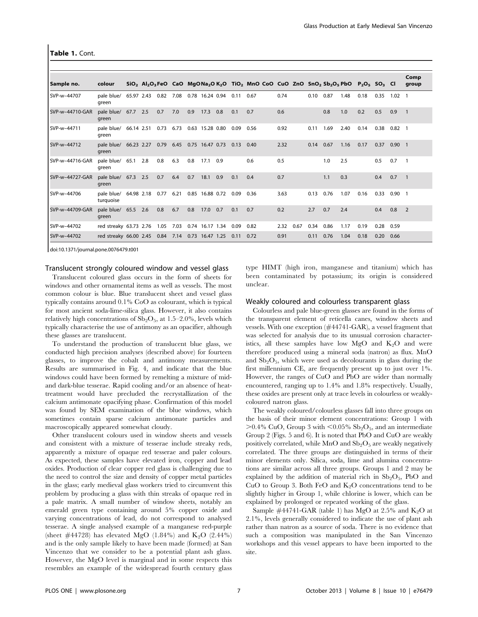| Sample no.      | colour                         |            |     |           |      |      |                 |     |      | $SiO2$ Al <sub>2</sub> O <sub>3</sub> FeO CaO MgONa <sub>2</sub> O K <sub>2</sub> O TiO <sub>2</sub> MnO CoO CuO ZnO SnO <sub>2</sub> Sb <sub>2</sub> O <sub>5</sub> PbO P <sub>2</sub> O <sub>5</sub> SO <sub>3</sub> Cl |      |      |      |      |      |      |      |                | Comp<br>group            |
|-----------------|--------------------------------|------------|-----|-----------|------|------|-----------------|-----|------|---------------------------------------------------------------------------------------------------------------------------------------------------------------------------------------------------------------------------|------|------|------|------|------|------|------|----------------|--------------------------|
| SVP-w-44707     | pale blue/ 65.97 2.43<br>green |            |     | 0.82      | 7.08 |      | 0.78 16.24 0.94 |     | 0.11 | 0.67                                                                                                                                                                                                                      | 0.74 |      | 0.10 | 0.87 | 1.48 | 0.18 | 0.35 | $1.02 \quad 1$ |                          |
| SVP-w-44710-GAR | pale blue/<br>green            | 67.7 2.5   |     | 0.7       | 7.0  | 0.9  | 17.3            | 0.8 | 0.1  | 0.7                                                                                                                                                                                                                       | 0.6  |      |      | 0.8  | 1.0  | 0.2  | 0.5  | 0.9            |                          |
| SVP-w-44711     | pale blue/<br>green            | 66.14 2.51 |     | 0.73      | 6.73 | 0.63 | 15.28 0.80      |     | 0.09 | 0.56                                                                                                                                                                                                                      | 0.92 |      | 0.11 | 1.69 | 2.40 | 0.14 | 0.38 | $0.82$ 1       |                          |
| SVP-w-44712     | pale blue/<br>green            | 66.23 2.27 |     | 0.79 6.45 |      |      | 0.75 16.47 0.73 |     | 0.13 | 0.40                                                                                                                                                                                                                      | 2.32 |      | 0.14 | 0.67 | 1.16 | 0.17 | 0.37 | $0.90$ 1       |                          |
| SVP-w-44716-GAR | pale blue/<br>green            | 65.1       | 2.8 | 0.8       | 6.3  | 0.8  | 17.1            | 0.9 |      | 0.6                                                                                                                                                                                                                       | 0.5  |      |      | 1.0  | 2.5  |      | 0.5  | 0.7            | $\overline{1}$           |
| SVP-w-44727-GAR | pale blue/<br>green            | 67.3 2.5   |     | 0.7       | 6.4  | 0.7  | 18.1            | 0.9 | 0.1  | 0.4                                                                                                                                                                                                                       | 0.7  |      |      | 1.1  | 0.3  |      | 0.4  | 0.7            | $\overline{\phantom{0}}$ |
| SVP-w-44706     | pale blue/<br>turquoise        | 64.98 2.18 |     | 0.77      | 6.21 |      | 0.85 16.88 0.72 |     | 0.09 | 0.36                                                                                                                                                                                                                      | 3.63 |      | 0.13 | 0.76 | 1.07 | 0.16 | 0.33 | $0.90$ 1       |                          |
| SVP-w-44709-GAR | pale blue/<br>green            | 65.5 2.6   |     | 0.8       | 6.7  | 0.8  | 17.0            | 0.7 | 0.1  | 0.7                                                                                                                                                                                                                       | 0.2  |      | 2.7  | 0.7  | 2.4  |      | 0.4  | 0.8            | $\overline{2}$           |
| SVP-w-44702     | red streaky 63.73 2.76         |            |     | 1.05      | 7.03 |      | 0.74 16.17 1.34 |     | 0.09 | 0.82                                                                                                                                                                                                                      | 2.32 | 0.67 | 0.34 | 0.86 | 1.17 | 0.19 | 0.28 | 0.59           |                          |
| SVP-w-44702     | red streaky 66.00 2.45         |            |     | 0.84 7.14 |      |      | 0.73 16.47 1.25 |     | 0.11 | 0.72                                                                                                                                                                                                                      | 0.91 |      | 0.11 | 0.76 | 1.04 | 0.18 | 0.20 | 0.66           |                          |

doi:10.1371/journal.pone.0076479.t001

Translucent strongly coloured window and vessel glass

Translucent coloured glass occurs in the form of sheets for windows and other ornamental items as well as vessels. The most common colour is blue. Blue translucent sheet and vessel glass typically contains around 0.1% CoO as colourant, which is typical for most ancient soda-lime-silica glass. However, it also contains relatively high concentrations of  $Sb_2O_5$ , at 1.5–2.0%, levels which typically characterise the use of antimony as an opacifier, although these glasses are translucent.

To understand the production of translucent blue glass, we conducted high precision analyses (described above) for fourteen glasses, to improve the cobalt and antimony measurements. Results are summarised in Fig. 4, and indicate that the blue windows could have been formed by remelting a mixture of midand dark-blue tesserae. Rapid cooling and/or an absence of heattreatment would have precluded the recrystallization of the calcium antimonate opacifying phase. Confirmation of this model was found by SEM examination of the blue windows, which sometimes contain sparse calcium antimonate particles and macroscopically appeared somewhat cloudy.

Other translucent colours used in window sheets and vessels and consistent with a mixture of tesserae include streaky reds, apparently a mixture of opaque red tesserae and paler colours. As expected, these samples have elevated iron, copper and lead oxides. Production of clear copper red glass is challenging due to the need to control the size and density of copper metal particles in the glass; early medieval glass workers tried to circumvent this problem by producing a glass with thin streaks of opaque red in a pale matrix. A small number of window sheets, notably an emerald green type containing around 5% copper oxide and varying concentrations of lead, do not correspond to analysed tesserae. A single analysed example of a manganese red-purple (sheet #44728) has elevated MgO (1.84%) and K<sub>2</sub>O (2.44%) and is the only sample likely to have been made (formed) at San Vincenzo that we consider to be a potential plant ash glass. However, the MgO level is marginal and in some respects this resembles an example of the widespread fourth century glass

type HIMT (high iron, manganese and titanium) which has been contaminated by potassium; its origin is considered unclear.

#### Weakly coloured and colourless transparent glass

Colourless and pale blue-green glasses are found in the forms of the transparent element of reticella canes, window sheets and vessels. With one exception (#44741-GAR), a vessel fragment that was selected for analysis due to its unusual corrosion characteristics, all these samples have low MgO and  $K_2O$  and were therefore produced using a mineral soda (natron) as flux. MnO and  $Sb<sub>2</sub>O<sub>5</sub>$ , which were used as decolourants in glass during the first millennium CE, are frequently present up to just over 1%. However, the ranges of CuO and PbO are wider than normally encountered, ranging up to 1.4% and 1.8% respectively. Usually, these oxides are present only at trace levels in colourless or weaklycoloured natron glass.

The weakly coloured/colourless glasses fall into three groups on the basis of their minor element concentrations: Group 1 with  $>0.4\%$  CuO, Group 3 with  $< 0.05\%$  Sb<sub>2</sub>O<sub>5</sub>, and an intermediate Group 2 (Figs. 5 and 6). It is noted that PbO and CuO are weakly positively correlated, while MnO and  $Sb_2O_5$  are weakly negatively correlated. The three groups are distinguished in terms of their minor elements only. Silica, soda, lime and alumina concentrations are similar across all three groups. Groups 1 and 2 may be explained by the addition of material rich in  $Sb_2O_5$ , PbO and CuO to Group 3. Both FeO and  $K_2O$  concentrations tend to be slightly higher in Group 1, while chlorine is lower, which can be explained by prolonged or repeated working of the glass.

Sample  $\#44741$ -GAR (table 1) has MgO at 2.5% and K<sub>2</sub>O at 2.1%, levels generally considered to indicate the use of plant ash rather than natron as a source of soda. There is no evidence that such a composition was manipulated in the San Vincenzo workshops and this vessel appears to have been imported to the site.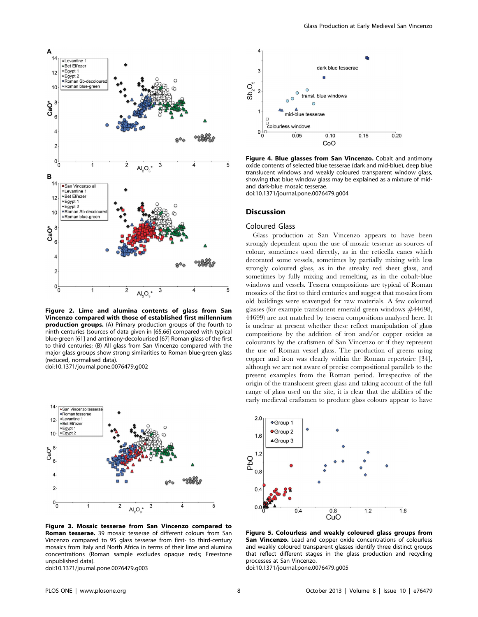

Figure 2. Lime and alumina contents of glass from San Vincenzo compared with those of established first millennium production groups. (A) Primary production groups of the fourth to ninth centuries (sources of data given in [65,66] compared with typical blue-green [61] and antimony-decolourised [67] Roman glass of the first to third centuries; (B) All glass from San Vincenzo compared with the major glass groups show strong similarities to Roman blue-green glass (reduced, normalised data). doi:10.1371/journal.pone.0076479.g002



Figure 3. Mosaic tesserae from San Vincenzo compared to Roman tesserae. 39 mosaic tesserae of different colours from San Vincenzo compared to 95 glass tesserae from first- to third-century mosaics from Italy and North Africa in terms of their lime and alumina concentrations (Roman sample excludes opaque reds; Freestone unpublished data).

doi:10.1371/journal.pone.0076479.g003



Figure 4. Blue glasses from San Vincenzo. Cobalt and antimony oxide contents of selected blue tesserae (dark and mid-blue), deep blue translucent windows and weakly coloured transparent window glass, showing that blue window glass may be explained as a mixture of midand dark-blue mosaic tesserae. doi:10.1371/journal.pone.0076479.g004

Discussion

# Coloured Glass

Glass production at San Vincenzo appears to have been strongly dependent upon the use of mosaic tesserae as sources of colour, sometimes used directly, as in the reticella canes which decorated some vessels, sometimes by partially mixing with less strongly coloured glass, as in the streaky red sheet glass, and sometimes by fully mixing and remelting, as in the cobalt-blue windows and vessels. Tessera compositions are typical of Roman mosaics of the first to third centuries and suggest that mosaics from old buildings were scavenged for raw materials. A few coloured glasses (for example translucent emerald green windows #44698, 44699) are not matched by tessera compositions analysed here. It is unclear at present whether these reflect manipulation of glass compositions by the addition of iron and/or copper oxides as colourants by the craftsmen of San Vincenzo or if they represent the use of Roman vessel glass. The production of greens using copper and iron was clearly within the Roman repertoire [34], although we are not aware of precise compositional parallels to the present examples from the Roman period. Irrespective of the origin of the translucent green glass and taking account of the full range of glass used on the site, it is clear that the abilities of the early medieval craftsmen to produce glass colours appear to have



Figure 5. Colourless and weakly coloured glass groups from San Vincenzo. Lead and copper oxide concentrations of colourless and weakly coloured transparent glasses identify three distinct groups that reflect different stages in the glass production and recycling processes at San Vincenzo.

doi:10.1371/journal.pone.0076479.g005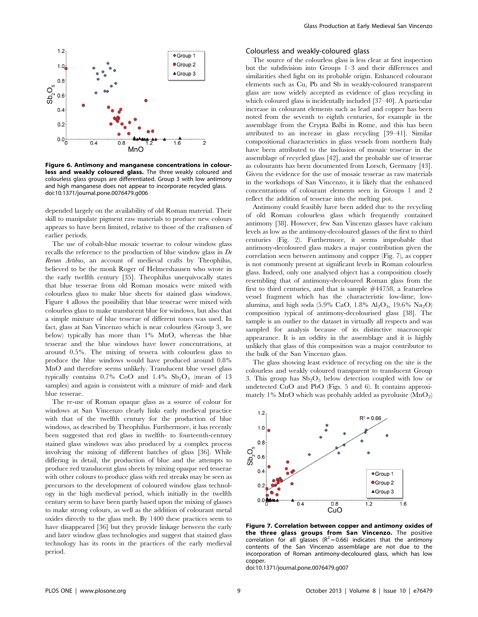

Figure 6. Antimony and manganese concentrations in colourless and weakly coloured glass. The three weakly coloured and colourless glass groups are differentiated. Group 3 with low antimony and high manganese does not appear to incorporate recycled glass. doi:10.1371/journal.pone.0076479.g006

depended largely on the availability of old Roman material. Their skill to manipulate pigment raw materials to produce new colours appears to have been limited, relative to those of the craftsmen of earlier periods.

The use of cobalt-blue mosaic tesserae to colour window glass recalls the reference to the production of blue window glass in  $De$ Rerum Artibus, an account of medieval crafts by Theophilus, believed to be the monk Roger of Helmershausen who wrote in the early twelfth century [35]. Theophilus unequivocally states that blue tesserae from old Roman mosaics were mixed with colourless glass to make blue sheets for stained glass windows. Figure 4 allows the possibility that blue tesserae were mixed with colourless glass to make translucent blue for windows, but also that a simple mixture of blue tesserae of different tones was used. In fact, glass at San Vincenzo which is near colourless (Group 3, see below) typically has more than 1% MnO, whereas the blue tesserae and the blue windows have lower concentrations, at around 0.5%. The mixing of tessera with colourless glass to produce the blue windows would have produced around 0.8% MnO and therefore seems unlikely. Translucent blue vessel glass typically contains  $0.7\%$  CoO and  $1.4\%$  Sb<sub>2</sub>O<sub>5</sub> (mean of 13 samples) and again is consistent with a mixture of mid- and dark blue tesserae.

The re-use of Roman opaque glass as a source of colour for windows at San Vincenzo clearly links early medieval practice with that of the twelfth century for the production of blue windows, as described by Theophilus. Furthermore, it has recently been suggested that red glass in twelfth- to fourteenth-century stained glass windows was also produced by a complex process involving the mixing of different batches of glass [36]. While differing in detail, the production of blue and the attempts to produce red translucent glass sheets by mixing opaque red tesserae with other colours to produce glass with red streaks may be seen as precursors to the development of coloured window glass technology in the high medieval period, which initially in the twelfth century seem to have been partly based upon the mixing of glasses to make strong colours, as well as the addition of colourant metal oxides directly to the glass melt. By 1400 these practices seem to have disappeared [36] but they provide linkage between the early and later window glass technologies and suggest that stained glass technology has its roots in the practices of the early medieval period.

# Colourless and weakly-coloured glass

The source of the colourless glass is less clear at first inspection but the subdivision into Groups 1–3 and their differences and similarities shed light on its probable origin. Enhanced colourant elements such as Cu, Pb and Sb in weakly-coloured transparent glass are now widely accepted as evidence of glass recycling in which coloured glass is incidentally included [37–40]. A particular increase in colourant elements such as lead and copper has been noted from the seventh to eighth centuries, for example in the assemblage from the Crypta Balbi in Rome, and this has been attributed to an increase in glass recycling [39–41]. Similar compositional characteristics in glass vessels from northern Italy have been attributed to the inclusion of mosaic tesserae in the assemblage of recycled glass [42], and the probable use of tesserae as colourants has been documented from Lorsch, Germany [43]. Given the evidence for the use of mosaic tesserae as raw materials in the workshops of San Vincenzo, it is likely that the enhanced concentrations of colourant elements seen in Groups 1 and 2 reflect the addition of tesserae into the melting pot.

Antimony could feasibly have been added due to the recycling of old Roman colourless glass which frequently contained antimony [38]. However, few San Vincenzo glasses have calcium levels as low as the antimony-decoloured glasses of the first to third centuries (Fig. 2). Furthermore, it seems improbable that antimony-decoloured glass makes a major contribution given the correlation seen between antimony and copper (Fig. 7), as copper is not commonly present at significant levels in Roman colourless glass. Indeed, only one analysed object has a composition closely resembling that of antimony-decoloured Roman glass from the first to third centuries, and that is sample #44758, a featureless vessel fragment which has the characteristic low-lime, lowalumina, and high soda (5.9% CaO, 1.8%  $\text{Al}_2\text{O}_3$ , 19.6%  $\text{Na}_2\text{O}$ ) composition typical of antimony-decolourised glass [38]. The sample is an outlier to the dataset in virtually all respects and was sampled for analysis because of its distinctive macroscopic appearance. It is an oddity in the assemblage and it is highly unlikely that glass of this composition was a major contributor to the bulk of the San Vincenzo glass.

The glass showing least evidence of recycling on the site is the colourless and weakly coloured transparent to translucent Group 3. This group has  $Sb_2O_5$  below detection coupled with low or undetected CuO and PbO (Figs. 5 and 6). It contains approximately 1% MnO which was probably added as pyrolusite  $(MnO<sub>2</sub>)$ 



Figure 7. Correlation between copper and antimony oxides of the three glass groups from San Vincenzo. The positive correlation for all glasses ( $R^2 = 0.66$ ) indicates that the antimony contents of the San Vincenzo assemblage are not due to the incorporation of Roman antimony-decoloured glass, which has low copper.

doi:10.1371/journal.pone.0076479.g007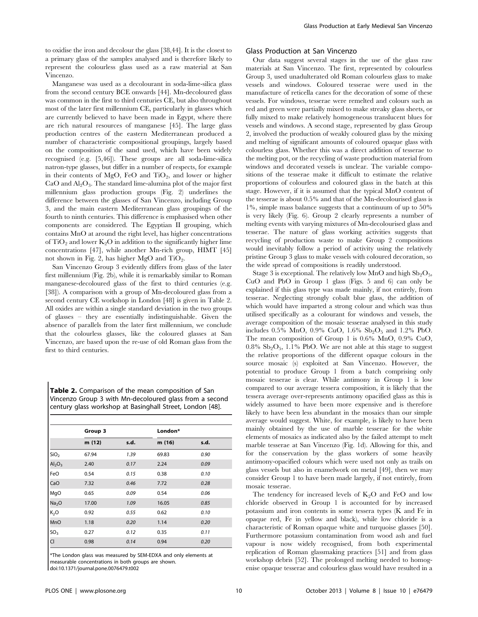to oxidise the iron and decolour the glass [38,44]. It is the closest to a primary glass of the samples analysed and is therefore likely to represent the colourless glass used as a raw material at San Vincenzo.

Manganese was used as a decolourant in soda-lime-silica glass from the second century BCE onwards [44]. Mn-decoloured glass was common in the first to third centuries CE, but also throughout most of the later first millennium CE, particularly in glasses which are currently believed to have been made in Egypt, where there are rich natural resources of manganese [45]. The large glass production centres of the eastern Mediterranean produced a number of characteristic compositional groupings, largely based on the composition of the sand used, which have been widely recognised (e.g. [5,46]). These groups are all soda-lime-silica natron-type glasses, but differ in a number of respects, for example in their contents of MgO, FeO and  $TiO<sub>2</sub>$ , and lower or higher  $CaO$  and  $Al<sub>2</sub>O<sub>3</sub>$ . The standard lime-alumina plot of the major first millennium glass production groups (Fig. 2) underlines the difference between the glasses of San Vincenzo, including Group 3, and the main eastern Mediterranean glass groupings of the fourth to ninth centuries. This difference is emphasised when other components are considered. The Egyptian II grouping, which contains MnO at around the right level, has higher concentrations of  $TiO<sub>2</sub>$  and lower K<sub>2</sub>O in addition to the significantly higher lime concentrations [47], while another Mn-rich group, HIMT [45] not shown in Fig. 2, has higher  $MgO$  and  $TiO<sub>2</sub>$ .

San Vincenzo Group 3 evidently differs from glass of the later first millennium (Fig. 2b), while it is remarkably similar to Roman manganese-decoloured glass of the first to third centuries (e.g. [38]). A comparison with a group of Mn-decoloured glass from a second century CE workshop in London [48] is given in Table 2. All oxides are within a single standard deviation in the two groups of glasses – they are essentially indistinguishable. Given the absence of parallels from the later first millennium, we conclude that the colourless glasses, like the coloured glasses at San Vincenzo, are based upon the re-use of old Roman glass from the first to third centuries.

Table 2. Comparison of the mean composition of San Vincenzo Group 3 with Mn-decoloured glass from a second century glass workshop at Basinghall Street, London [48].

|                                | Group 3 |      | London* |      |  |  |  |  |  |
|--------------------------------|---------|------|---------|------|--|--|--|--|--|
|                                | m (12)  | s.d. | m (16)  | s.d. |  |  |  |  |  |
| SiO <sub>2</sub>               | 67.94   | 1.39 | 69.83   | 0.90 |  |  |  |  |  |
| Al <sub>2</sub> O <sub>3</sub> | 2.40    | 0.17 | 2.24    | 0.09 |  |  |  |  |  |
| FeO                            | 0.54    | 0.15 | 0.38    | 0.10 |  |  |  |  |  |
| CaO                            | 7.32    | 0.46 | 7.72    | 0.28 |  |  |  |  |  |
| MgO                            | 0.65    | 0.09 | 0.54    | 0.06 |  |  |  |  |  |
| Na <sub>2</sub> O              | 17.00   | 1.09 | 16.05   | 0.85 |  |  |  |  |  |
| K <sub>2</sub> O               | 0.92    | 0.55 | 0.62    | 0.10 |  |  |  |  |  |
| MnO                            | 1.18    | 0.20 | 1.14    | 0.20 |  |  |  |  |  |
| SO <sub>3</sub>                | 0.27    | 0.12 | 0.35    | 0.11 |  |  |  |  |  |
| C                              | 0.98    | 0.14 | 0.94    | 0.20 |  |  |  |  |  |

\*The London glass was measured by SEM-EDXA and only elements at measurable concentrations in both groups are shown. doi:10.1371/journal.pone.0076479.t002

# Glass Production at San Vincenzo

Our data suggest several stages in the use of the glass raw materials at San Vincenzo. The first, represented by colourless Group 3, used unadulterated old Roman colourless glass to make vessels and windows. Coloured tesserae were used in the manufacture of reticella canes for the decoration of some of these vessels. For windows, tesserae were remelted and colours such as red and green were partially mixed to make streaky glass sheets, or fully mixed to make relatively homogeneous translucent blues for vessels and windows. A second stage, represented by glass Group 2, involved the production of weakly coloured glass by the mixing and melting of significant amounts of coloured opaque glass with colourless glass. Whether this was a direct addition of tesserae to the melting pot, or the recycling of waste production material from windows and decorated vessels is unclear. The variable compositions of the tesserae make it difficult to estimate the relative proportions of colourless and coloured glass in the batch at this stage. However, if it is assumed that the typical MnO content of the tesserae is about 0.5% and that of the Mn-decolourised glass is 1%, simple mass balance suggests that a continuum of up to 50% is very likely (Fig. 6). Group 2 clearly represents a number of melting events with varying mixtures of Mn-decolourised glass and tesserae. The nature of glass working activities suggests that recycling of production waste to make Group 2 compositions would inevitably follow a period of activity using the relatively pristine Group 3 glass to make vessels with coloured decoration, so the wide spread of compositions is readily understood.

Stage 3 is exceptional. The relatively low MnO and high  $Sb_2O_5$ , CuO and PbO in Group 1 glass (Figs. 5 and 6) can only be explained if this glass type was made mainly, if not entirely, from tesserae. Neglecting strongly cobalt blue glass, the addition of which would have imparted a strong colour and which was thus utilised specifically as a colourant for windows and vessels, the average composition of the mosaic tesserae analysed in this study includes 0.5% MnO, 0.9% CuO, 1.6%  $Sb_2O_5$  and 1.2% PbO. The mean composition of Group 1 is 0.6% MnO, 0.9% CuO,  $0.8\%$  Sb<sub>2</sub>O<sub>5</sub>, 1.1% PbO. We are not able at this stage to suggest the relative proportions of the different opaque colours in the source mosaic (s) exploited at San Vincenzo. However, the potential to produce Group 1 from a batch comprising only mosaic tesserae is clear. While antimony in Group 1 is low compared to our average tessera composition, it is likely that the tessera average over-represents antimony opacified glass as this is widely assumed to have been more expensive and is therefore likely to have been less abundant in the mosaics than our simple average would suggest. White, for example, is likely to have been mainly obtained by the use of marble tesserae for the white elements of mosaics as indicated also by the failed attempt to melt marble tesserae at San Vincenzo (Fig. 1d). Allowing for this, and for the conservation by the glass workers of some heavily antimony-opacified colours which were used not only as trails on glass vessels but also in enamelwork on metal [49], then we may consider Group 1 to have been made largely, if not entirely, from mosaic tesserae.

The tendency for increased levels of  $K_2O$  and FeO and low chloride observed in Group 1 is accounted for by increased potassium and iron contents in some tessera types (K and Fe in opaque red, Fe in yellow and black), while low chloride is a characteristic of Roman opaque white and turquoise glasses [50]. Furthermore potassium contamination from wood ash and fuel vapour is now widely recognised, from both experimental replication of Roman glassmaking practices [51] and from glass workshop debris [52]. The prolonged melting needed to homogenise opaque tesserae and colourless glass would have resulted in a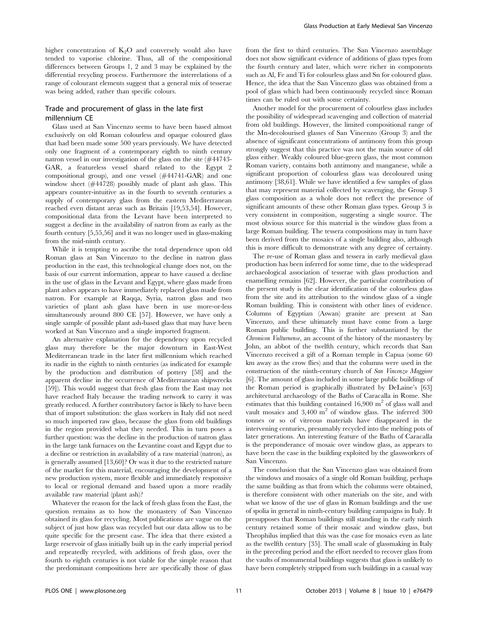higher concentration of  $K_2O$  and conversely would also have tended to vaporise chlorine. Thus, all of the compositional differences between Groups 1, 2 and 3 may be explained by the differential recycling process. Furthermore the interrelations of a range of colourant elements suggest that a general mix of tesserae was being added, rather than specific colours.

# Trade and procurement of glass in the late first millennium CE

Glass used at San Vincenzo seems to have been based almost exclusively on old Roman colourless and opaque coloured glass that had been made some 500 years previously. We have detected only one fragment of a contemporary eighth to ninth century natron vessel in our investigation of the glass on the site (#44743- GAR, a featureless vessel shard related to the Egypt 2 compositional group), and one vessel (#44741-GAR) and one window sheet (#44728) possibly made of plant ash glass. This appears counter-intuitive as in the fourth to seventh centuries a supply of contemporary glass from the eastern Mediterranean reached even distant areas such as Britain [19,53,54]. However, compositional data from the Levant have been interpreted to suggest a decline in the availability of natron from as early as the fourth century [5,55,56] and it was no longer used in glass-making from the mid-ninth century.

While it is tempting to ascribe the total dependence upon old Roman glass at San Vincenzo to the decline in natron glass production in the east, this technological change does not, on the basis of our current information, appear to have caused a decline in the use of glass in the Levant and Egypt, where glass made from plant ashes appears to have immediately replaced glass made from natron. For example at Raqqa, Syria, natron glass and two varieties of plant ash glass have been in use more-or-less simultaneously around 800 CE [57]. However, we have only a single sample of possible plant ash-based glass that may have been worked at San Vincenzo and a single imported fragment.

An alternative explanation for the dependency upon recycled glass may therefore be the major downturn in East-West Mediterranean trade in the later first millennium which reached its nadir in the eighth to ninth centuries (as indicated for example by the production and distribution of pottery [58] and the apparent decline in the occurrence of Mediterranean shipwrecks [59]). This would suggest that fresh glass from the East may not have reached Italy because the trading network to carry it was greatly reduced. A further contributory factor is likely to have been that of import substitution: the glass workers in Italy did not need so much imported raw glass, because the glass from old buildings in the region provided what they needed. This in turn poses a further question: was the decline in the production of natron glass in the large tank furnaces on the Levantine coast and Egypt due to a decline or restriction in availability of a raw material (natron), as is generally assumed [13,60]? Or was it due to the restricted nature of the market for this material, encouraging the development of a new production system, more flexible and immediately responsive to local or regional demand and based upon a more readily available raw material (plant ash)?

Whatever the reason for the lack of fresh glass from the East, the question remains as to how the monastery of San Vincenzo obtained its glass for recycling. Most publications are vague on the subject of just how glass was recycled but our data allow us to be quite specific for the present case. The idea that there existed a large reservoir of glass initially built up in the early imperial period and repeatedly recycled, with additions of fresh glass, over the fourth to eighth centuries is not viable for the simple reason that the predominant compositions here are specifically those of glass from the first to third centuries. The San Vincenzo assemblage does not show significant evidence of additions of glass types from the fourth century and later, which were richer in components such as Al, Fe and Ti for colourless glass and Sn for coloured glass. Hence, the idea that the San Vincenzo glass was obtained from a pool of glass which had been continuously recycled since Roman times can be ruled out with some certainty.

Another model for the procurement of colourless glass includes the possibility of widespread scavenging and collection of material from old buildings. However, the limited compositional range of the Mn-decolourised glasses of San Vincenzo (Group 3) and the absence of significant concentrations of antimony from this group strongly suggest that this practice was not the main source of old glass either. Weakly coloured blue-green glass, the most common Roman variety, contains both antimony and manganese, while a significant proportion of colourless glass was decoloured using antimony [38,61]. While we have identified a few samples of glass that may represent material collected by scavenging, the Group 3 glass composition as a whole does not reflect the presence of significant amounts of these other Roman glass types. Group 3 is very consistent in composition, suggesting a single source. The most obvious source for this material is the window glass from a large Roman building. The tessera compositions may in turn have been derived from the mosaics of a single building also, although this is more difficult to demonstrate with any degree of certainty.

The re-use of Roman glass and tessera in early medieval glass production has been inferred for some time, due to the widespread archaeological association of tesserae with glass production and enamelling remains [62]. However, the particular contribution of the present study is the clear identification of the colourless glass from the site and its attribution to the window glass of a single Roman building. This is consistent with other lines of evidence. Columns of Egyptian (Aswan) granite are present at San Vincenzo, and these ultimately must have come from a large Roman public building. This is further substantiated by the Chronicon Vulturnense, an account of the history of the monastery by John, an abbot of the twelfth century, which records that San Vincenzo received a gift of a Roman temple in Capua (some 60 km away as the crow flies) and that the columns were used in the construction of the ninth-century church of San Vincenzo Maggiore [6]. The amount of glass included in some large public buildings of the Roman period is graphically illustrated by DeLaine's [63] architectural archaeology of the Baths of Caracalla in Rome. She estimates that this building contained  $16,900$  m<sup>2</sup> of glass wall and vault mosaics and  $3,400 \text{ m}^2$  of window glass. The inferred 300 tonnes or so of vitreous materials have disappeared in the intervening centuries, presumably recycled into the melting pots of later generations. An interesting feature of the Baths of Caracalla is the preponderance of mosaic over window glass, as appears to have been the case in the building exploited by the glassworkers of San Vincenzo.

The conclusion that the San Vincenzo glass was obtained from the windows and mosaics of a single old Roman building, perhaps the same building as that from which the columns were obtained, is therefore consistent with other materials on the site, and with what we know of the use of glass in Roman buildings and the use of spolia in general in ninth-century building campaigns in Italy. It presupposes that Roman buildings still standing in the early ninth century retained some of their mosaic and window glass, but Theophilus implied that this was the case for mosaics even as late as the twelfth century [35]. The small scale of glassmaking in Italy in the preceding period and the effort needed to recover glass from the vaults of monumental buildings suggests that glass is unlikely to have been completely stripped from such buildings in a casual way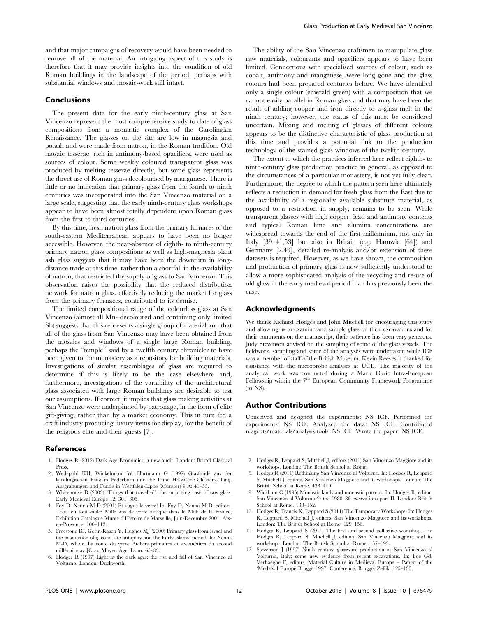and that major campaigns of recovery would have been needed to remove all of the material. An intriguing aspect of this study is therefore that it may provide insights into the condition of old Roman buildings in the landscape of the period, perhaps with substantial windows and mosaic-work still intact.

#### Conclusions

The present data for the early ninth-century glass at San Vincenzo represent the most comprehensive study to date of glass compositions from a monastic complex of the Carolingian Renaissance. The glasses on the site are low in magnesia and potash and were made from natron, in the Roman tradition. Old mosaic tesserae, rich in antimony-based opacifiers, were used as sources of colour. Some weakly coloured transparent glass was produced by melting tesserae directly, but some glass represents the direct use of Roman glass decolourised by manganese. There is little or no indication that primary glass from the fourth to ninth centuries was incorporated into the San Vincenzo material on a large scale, suggesting that the early ninth-century glass workshops appear to have been almost totally dependent upon Roman glass from the first to third centuries.

By this time, fresh natron glass from the primary furnaces of the south-eastern Mediterranean appears to have been no longer accessible. However, the near-absence of eighth- to ninth-century primary natron glass compositions as well as high-magnesia plant ash glass suggests that it may have been the downturn in longdistance trade at this time, rather than a shortfall in the availability of natron, that restricted the supply of glass to San Vincenzo. This observation raises the possibility that the reduced distribution network for natron glass, effectively reducing the market for glass from the primary furnaces, contributed to its demise.

The limited compositional range of the colourless glass at San Vincenzo (almost all Mn- decoloured and containing only limited Sb) suggests that this represents a single group of material and that all of the glass from San Vincenzo may have been obtained from the mosaics and windows of a single large Roman building, perhaps the ''temple'' said by a twelfth century chronicler to have been given to the monastery as a repository for building materials. Investigations of similar assemblages of glass are required to determine if this is likely to be the case elsewhere and, furthermore, investigations of the variability of the architectural glass associated with large Roman buildings are desirable to test our assumptions. If correct, it implies that glass making activities at San Vincenzo were underpinned by patronage, in the form of elite gift-giving, rather than by a market economy. This in turn fed a craft industry producing luxury items for display, for the benefit of the religious elite and their guests [7].

# References

- 1. Hodges R (2012) Dark Age Economics: a new audit. London: Bristol Classical Press.
- 2. Wedepohl KH, Winkelmann W, Hartmann G (1997) Glasfunde aus der karolingischen Pfalz in Paderborn und die frühe Holzasche-Glasherstellung. Ausgrabungen und Funde in Westfalen-Lippe (Münster) 9 A: 41-53.
- 3. Whitehouse D (2003) 'Things that travelled': the surprising case of raw glass. Early Medieval Europe 12: 301–305.
- 4. Foy D, Nenna M-D (2001) Et vogue le verre! In: Foy D, Nenna M-D, editors. Tout feu tout sable: Mille ans de verre antique dans le Midi de la France, Exhibition Catalogue Musée d'Histoire de Marseille, Juin-Décembre 2001. Aixen-Provence. 100–112.
- 5. Freestone IC, Gorin-Rosen Y, Hughes MJ (2000) Primary glass from Israel and the production of glass in late antiquity and the Early Islamic period. In: Nenna M-D, editor. La route du verre Ateliers primaires et secondaires du second millénaire av JC au Moyen Âge. Lyon. 65–83.
- 6. Hodges R (1997) Light in the dark ages: the rise and fall of San Vincenzo al Volturno. London: Duckworth.

The ability of the San Vincenzo craftsmen to manipulate glass raw materials, colourants and opacifiers appears to have been limited. Connections with specialised sources of colour, such as cobalt, antimony and manganese, were long gone and the glass colours had been prepared centuries before. We have identified only a single colour (emerald green) with a composition that we cannot easily parallel in Roman glass and that may have been the result of adding copper and iron directly to a glass melt in the ninth century; however, the status of this must be considered uncertain. Mixing and melting of glasses of different colours appears to be the distinctive characteristic of glass production at this time and provides a potential link to the production technology of the stained glass windows of the twelfth century.

The extent to which the practices inferred here reflect eighth- to ninth-century glass production practice in general, as opposed to the circumstances of a particular monastery, is not yet fully clear. Furthermore, the degree to which the pattern seen here ultimately reflects a reduction in demand for fresh glass from the East due to the availability of a regionally available substitute material, as opposed to a restriction in supply, remains to be seen. While transparent glasses with high copper, lead and antimony contents and typical Roman lime and alumina concentrations are widespread towards the end of the first millennium, not only in Italy [39–41,53] but also in Britain (e.g. Hamwic [64]) and Germany [2,43], detailed re-analysis and/or extension of these datasets is required. However, as we have shown, the composition and production of primary glass is now sufficiently understood to allow a more sophisticated analysis of the recycling and re-use of old glass in the early medieval period than has previously been the case.

# Acknowledgments

We thank Richard Hodges and John Mitchell for encouraging this study and allowing us to examine and sample glass on their excavations and for their comments on the manuscript; their patience has been very generous. Judy Stevenson advised on the sampling of some of the glass vessels. The fieldwork, sampling and some of the analyses were undertaken while ICF was a member of staff of the British Museum. Kevin Reeves is thanked for assistance with the microprobe analyses at UCL. The majority of the analytical work was conducted during a Marie Curie Intra-European Fellowship within the  $7<sup>th</sup>$  European Community Framework Programme (to NS).

# Author Contributions

Conceived and designed the experiments: NS ICF. Performed the experiments: NS ICF. Analyzed the data: NS ICF. Contributed reagents/materials/analysis tools: NS ICF. Wrote the paper: NS ICF.

- 7. Hodges R, Leppard S, Mitchell J, editors (2011) San Vincenzo Maggiore and its workshops. London: The British School at Rome.
- 8. Hodges R (2011) Rethinking San Vincenzo al Volturno. In: Hodges R, Leppard S, Mitchell J, editors. San Vincenzo Maggiore and its workshops. London: The British School at Rome. 433–449.
- 9. Wickham C (1995) Monastic lands and monastic patrons. In: Hodges R, editor. San Vincenzo al Volturno 2: the 1980–86 excavations part II. London: British School at Rome. 138–152.
- 10. Hodges R, Francis K, Leppard S (2011) The Temporary Workshops. In: Hodges R, Leppard S, Mitchell J, editors. San Vincenzo Maggiore and its workshops. London: The British School at Rome. 129–156.
- 11. Hodges R, Leppard S (2011) The first and second collective workshops. In: Hodges R, Leppard S, Mitchell J, editors. San Vincenzo Maggiore and its workshops. London: The British School at Rome. 157–193.
- 12. Stevenson J (1997) Ninth century glassware production at San Vincenzo al Volturno, Italy: some new evidence from recent excavations. In: Boe Gd, Verhaeghe F, editors. Material Culture in Medieval Europe – Papers of the 'Medieval Europe Brugge 1997' Conference. Brugge: Zellik. 125–135.